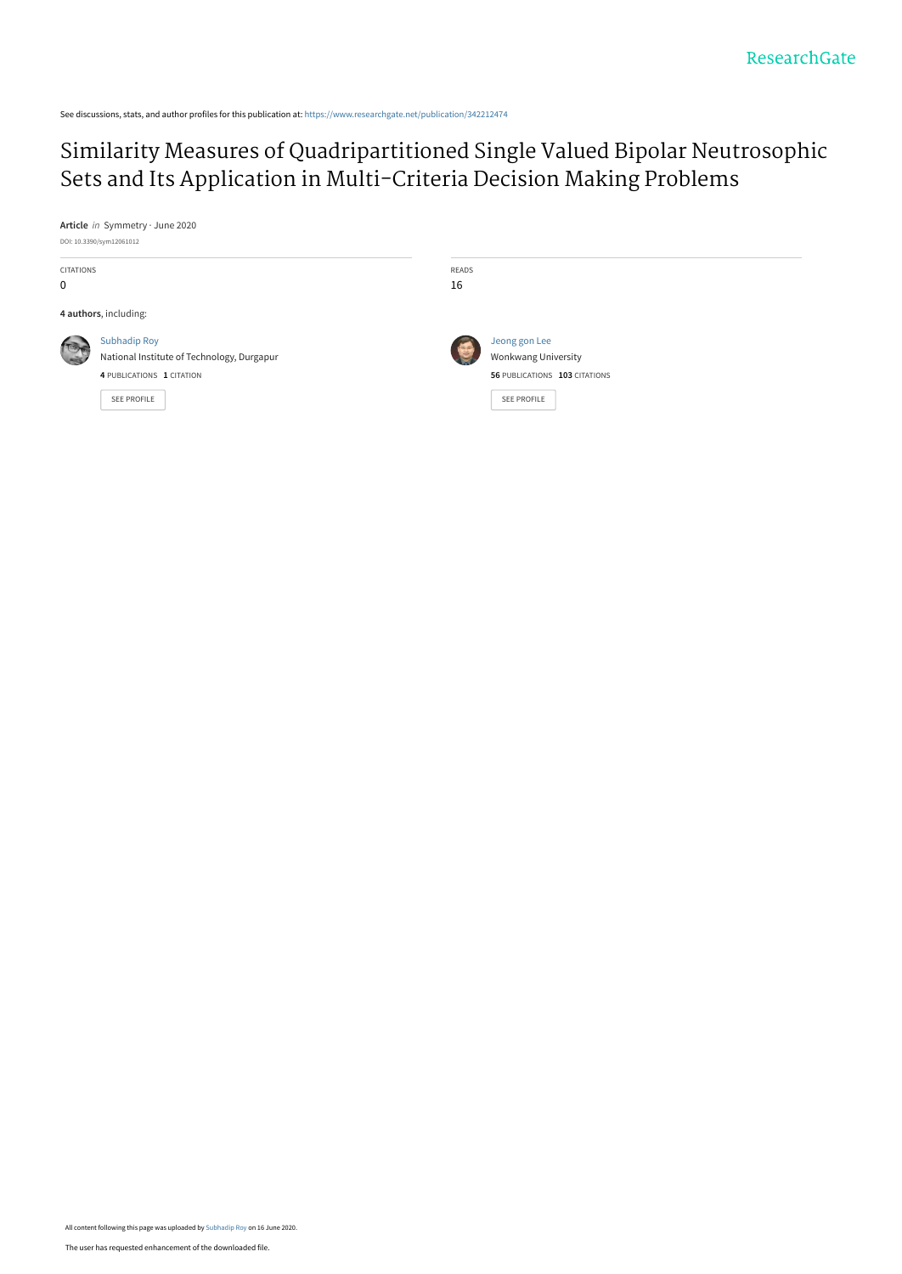See discussions, stats, and author profiles for this publication at: [https://www.researchgate.net/publication/342212474](https://www.researchgate.net/publication/342212474_Similarity_Measures_of_Quadripartitioned_Single_Valued_Bipolar_Neutrosophic_Sets_and_Its_Application_in_Multi-Criteria_Decision_Making_Problems?enrichId=rgreq-c0670b323fe5290358a4573b723910dd-XXX&enrichSource=Y292ZXJQYWdlOzM0MjIxMjQ3NDtBUzo5MDMwOTUzNTc4MDA0NDlAMTU5MjMyNjEyMDQzMg%3D%3D&el=1_x_2&_esc=publicationCoverPdf)

# [Similarity Measures of Quadripartitioned Single Valued Bipolar Neutrosophic](https://www.researchgate.net/publication/342212474_Similarity_Measures_of_Quadripartitioned_Single_Valued_Bipolar_Neutrosophic_Sets_and_Its_Application_in_Multi-Criteria_Decision_Making_Problems?enrichId=rgreq-c0670b323fe5290358a4573b723910dd-XXX&enrichSource=Y292ZXJQYWdlOzM0MjIxMjQ3NDtBUzo5MDMwOTUzNTc4MDA0NDlAMTU5MjMyNjEyMDQzMg%3D%3D&el=1_x_3&_esc=publicationCoverPdf) Sets and Its Application in Multi-Criteria Decision Making Problems

**Article** in Symmetry · June 2020

|  |  | DOI: 10.3390/sym12061012 |
|--|--|--------------------------|
|--|--|--------------------------|

| <b>CITATIONS</b><br>0 |                                                                                                               | READS<br>16 |                                                                                      |
|-----------------------|---------------------------------------------------------------------------------------------------------------|-------------|--------------------------------------------------------------------------------------|
|                       | 4 authors, including:                                                                                         |             |                                                                                      |
|                       | <b>Subhadip Roy</b><br>National Institute of Technology, Durgapur<br>4 PUBLICATIONS 1 CITATION<br>SEE PROFILE | 每           | Jeong gon Lee<br>Wonkwang University<br>56 PUBLICATIONS 103 CITATIONS<br>SEE PROFILE |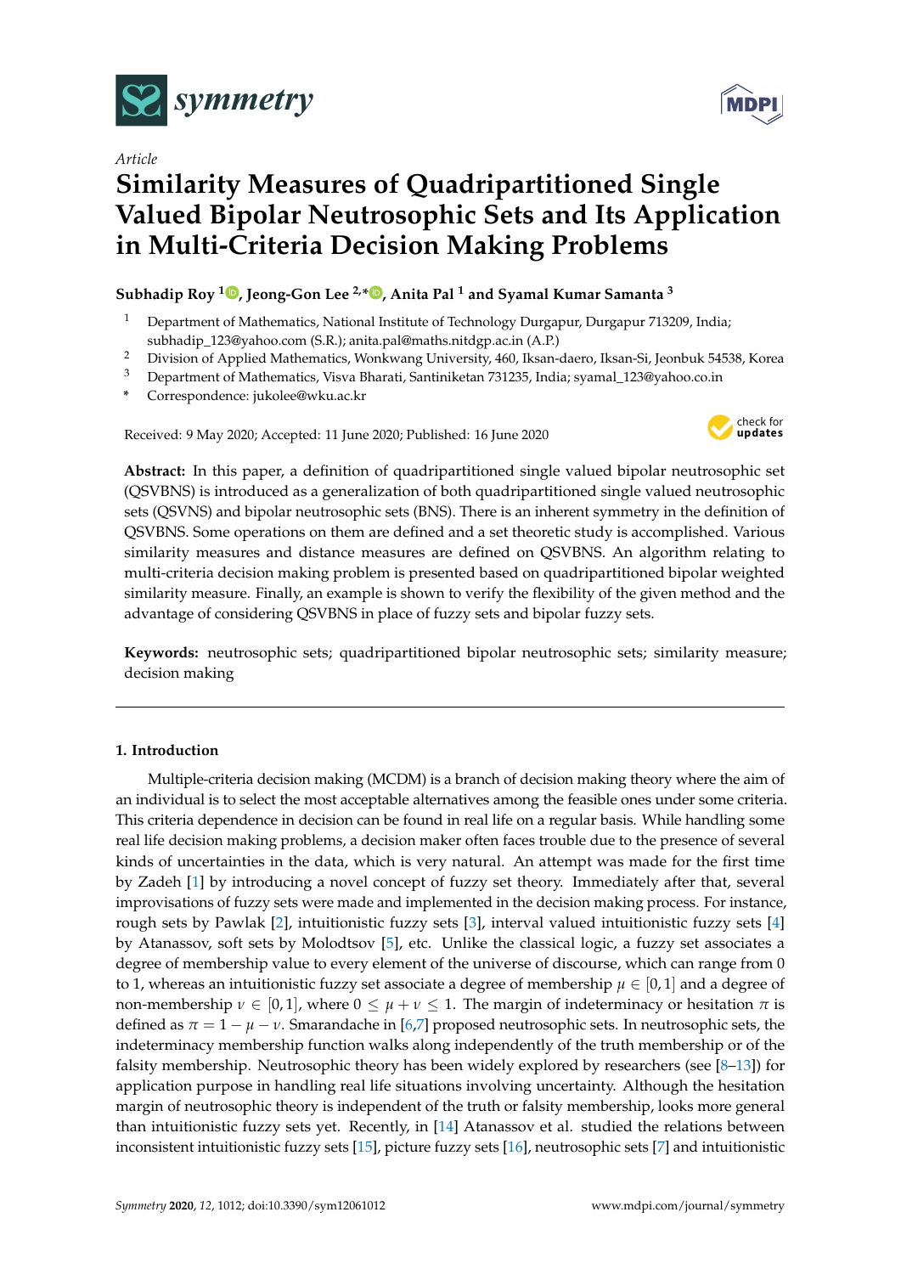

*Article*

# **Similarity Measures of Quadripartitioned Single Valued Bipolar Neutrosophic Sets and Its Application in Multi-Criteria Decision Making Problems**

# **Subhadip Roy <sup>1</sup> [,](https://orcid.org/0000-0001-9613-9047) Jeong-Gon Lee 2,\* [,](https://orcid.org/0000-0001-9613-9047) Anita Pal <sup>1</sup> and Syamal Kumar Samanta <sup>3</sup>**

- <sup>1</sup> Department of Mathematics, National Institute of Technology Durgapur, Durgapur 713209, India; subhadip\_123@yahoo.com (S.R.); anita.pal@maths.nitdgp.ac.in (A.P.)
- <sup>2</sup> Division of Applied Mathematics, Wonkwang University, 460, Iksan-daero, Iksan-Si, Jeonbuk 54538, Korea
- <sup>3</sup> Department of Mathematics, Visva Bharati, Santiniketan 731235, India; syamal\_123@yahoo.co.in
- **\*** Correspondence: jukolee@wku.ac.kr

Received: 9 May 2020; Accepted: 11 June 2020; Published: 16 June 2020



**Abstract:** In this paper, a definition of quadripartitioned single valued bipolar neutrosophic set (QSVBNS) is introduced as a generalization of both quadripartitioned single valued neutrosophic sets (QSVNS) and bipolar neutrosophic sets (BNS). There is an inherent symmetry in the definition of QSVBNS. Some operations on them are defined and a set theoretic study is accomplished. Various similarity measures and distance measures are defined on QSVBNS. An algorithm relating to multi-criteria decision making problem is presented based on quadripartitioned bipolar weighted similarity measure. Finally, an example is shown to verify the flexibility of the given method and the advantage of considering QSVBNS in place of fuzzy sets and bipolar fuzzy sets.

**Keywords:** neutrosophic sets; quadripartitioned bipolar neutrosophic sets; similarity measure; decision making

## **1. Introduction**

Multiple-criteria decision making (MCDM) is a branch of decision making theory where the aim of an individual is to select the most acceptable alternatives among the feasible ones under some criteria. This criteria dependence in decision can be found in real life on a regular basis. While handling some real life decision making problems, a decision maker often faces trouble due to the presence of several kinds of uncertainties in the data, which is very natural. An attempt was made for the first time by Zadeh [\[1\]](#page-15-0) by introducing a novel concept of fuzzy set theory. Immediately after that, several improvisations of fuzzy sets were made and implemented in the decision making process. For instance, rough sets by Pawlak [\[2\]](#page-15-1), intuitionistic fuzzy sets [\[3\]](#page-15-2), interval valued intuitionistic fuzzy sets [\[4\]](#page-15-3) by Atanassov, soft sets by Molodtsov [\[5\]](#page-15-4), etc. Unlike the classical logic, a fuzzy set associates a degree of membership value to every element of the universe of discourse, which can range from 0 to 1, whereas an intuitionistic fuzzy set associate a degree of membership  $\mu \in [0,1]$  and a degree of non-membership  $\nu \in [0,1]$ , where  $0 \leq \mu + \nu \leq 1$ . The margin of indeterminacy or hesitation  $\pi$  is defined as  $\pi = 1 - \mu - \nu$ . Smarandache in [\[6](#page-15-5)[,7\]](#page-15-6) proposed neutrosophic sets. In neutrosophic sets, the indeterminacy membership function walks along independently of the truth membership or of the falsity membership. Neutrosophic theory has been widely explored by researchers (see [\[8](#page-15-7)[–13\]](#page-15-8)) for application purpose in handling real life situations involving uncertainty. Although the hesitation margin of neutrosophic theory is independent of the truth or falsity membership, looks more general than intuitionistic fuzzy sets yet. Recently, in [\[14\]](#page-16-0) Atanassov et al. studied the relations between inconsistent intuitionistic fuzzy sets [\[15\]](#page-16-1), picture fuzzy sets [\[16\]](#page-16-2), neutrosophic sets [\[7\]](#page-15-6) and intuitionistic

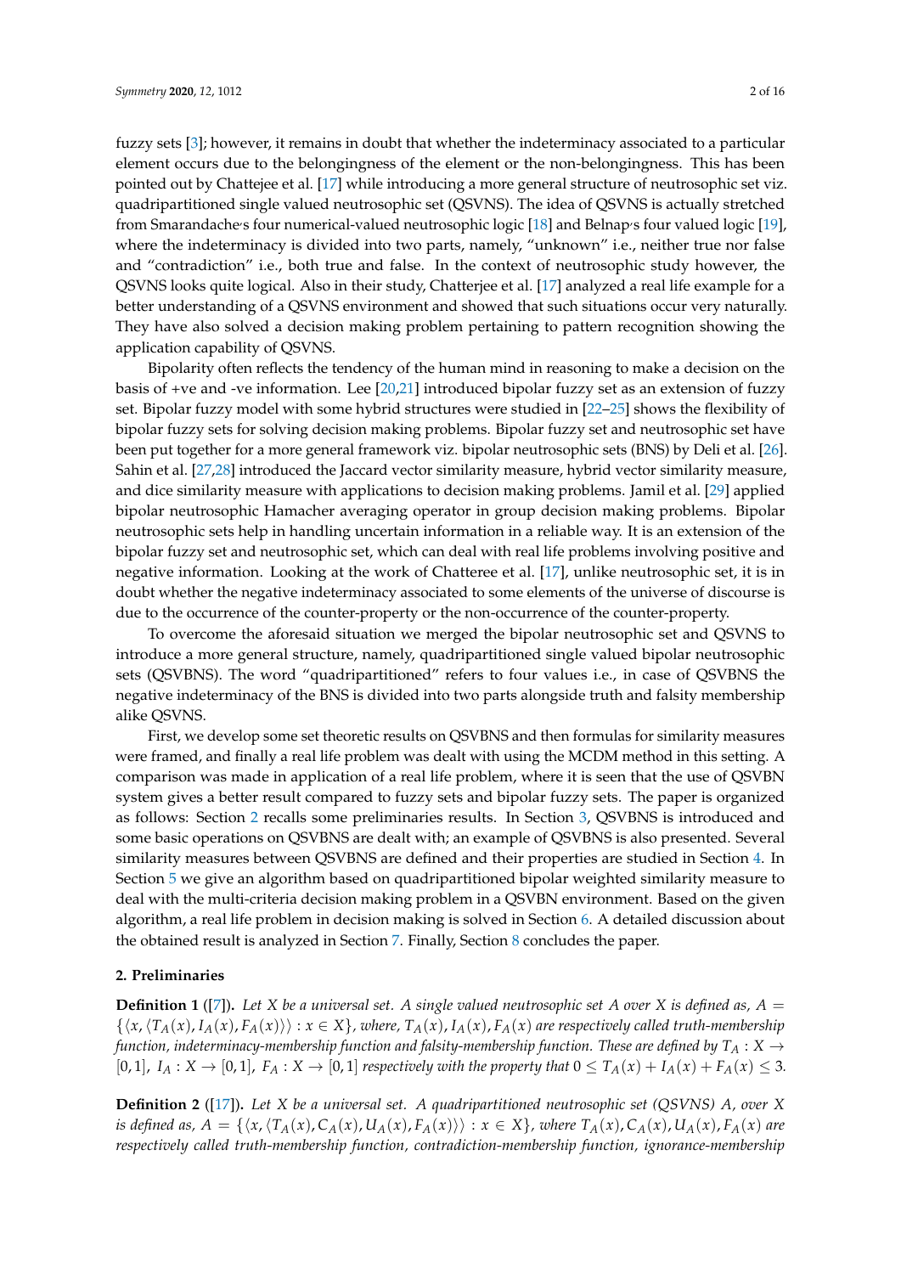fuzzy sets [\[3\]](#page-15-2); however, it remains in doubt that whether the indeterminacy associated to a particular element occurs due to the belongingness of the element or the non-belongingness. This has been pointed out by Chattejee et al. [\[17\]](#page-16-3) while introducing a more general structure of neutrosophic set viz. quadripartitioned single valued neutrosophic set (QSVNS). The idea of QSVNS is actually stretched from Smarandaches four numerical-valued neutrosophic logic [\[18\]](#page-16-4) and Belnap's four valued logic [\[19\]](#page-16-5), where the indeterminacy is divided into two parts, namely, "unknown" i.e., neither true nor false and "contradiction" i.e., both true and false. In the context of neutrosophic study however, the QSVNS looks quite logical. Also in their study, Chatterjee et al. [\[17\]](#page-16-3) analyzed a real life example for a better understanding of a QSVNS environment and showed that such situations occur very naturally.

application capability of QSVNS. Bipolarity often reflects the tendency of the human mind in reasoning to make a decision on the basis of +ve and -ve information. Lee [\[20](#page-16-6)[,21\]](#page-16-7) introduced bipolar fuzzy set as an extension of fuzzy set. Bipolar fuzzy model with some hybrid structures were studied in [\[22](#page-16-8)[–25\]](#page-16-9) shows the flexibility of bipolar fuzzy sets for solving decision making problems. Bipolar fuzzy set and neutrosophic set have been put together for a more general framework viz. bipolar neutrosophic sets (BNS) by Deli et al. [\[26\]](#page-16-10). Sahin et al. [\[27](#page-16-11)[,28\]](#page-16-12) introduced the Jaccard vector similarity measure, hybrid vector similarity measure, and dice similarity measure with applications to decision making problems. Jamil et al. [\[29\]](#page-16-13) applied bipolar neutrosophic Hamacher averaging operator in group decision making problems. Bipolar neutrosophic sets help in handling uncertain information in a reliable way. It is an extension of the bipolar fuzzy set and neutrosophic set, which can deal with real life problems involving positive and negative information. Looking at the work of Chatteree et al. [\[17\]](#page-16-3), unlike neutrosophic set, it is in doubt whether the negative indeterminacy associated to some elements of the universe of discourse is due to the occurrence of the counter-property or the non-occurrence of the counter-property.

They have also solved a decision making problem pertaining to pattern recognition showing the

To overcome the aforesaid situation we merged the bipolar neutrosophic set and QSVNS to introduce a more general structure, namely, quadripartitioned single valued bipolar neutrosophic sets (QSVBNS). The word "quadripartitioned" refers to four values i.e., in case of QSVBNS the negative indeterminacy of the BNS is divided into two parts alongside truth and falsity membership alike QSVNS.

First, we develop some set theoretic results on QSVBNS and then formulas for similarity measures were framed, and finally a real life problem was dealt with using the MCDM method in this setting. A comparison was made in application of a real life problem, where it is seen that the use of QSVBN system gives a better result compared to fuzzy sets and bipolar fuzzy sets. The paper is organized as follows: Section [2](#page-2-0) recalls some preliminaries results. In Section [3,](#page-3-0) QSVBNS is introduced and some basic operations on QSVBNS are dealt with; an example of QSVBNS is also presented. Several similarity measures between QSVBNS are defined and their properties are studied in Section [4.](#page-6-0) In Section [5](#page-11-0) we give an algorithm based on quadripartitioned bipolar weighted similarity measure to deal with the multi-criteria decision making problem in a QSVBN environment. Based on the given algorithm, a real life problem in decision making is solved in Section [6.](#page-11-1) A detailed discussion about the obtained result is analyzed in Section [7.](#page-12-0) Finally, Section [8](#page-15-9) concludes the paper.

#### <span id="page-2-0"></span>**2. Preliminaries**

**Definition 1** ([\[7\]](#page-15-6)). Let X be a universal set. A single valued neutrosophic set A over X is defined as,  $A =$  $\{\langle x,\langle T_A(x),I_A(x),F_A(x)\rangle\rangle : x \in X\}$ , where,  $T_A(x)$ ,  $I_A(x)$ ,  $F_A(x)$  are respectively called truth-membership *function, indeterminacy-membership function and falsity-membership function. These are defined by*  $T_A: X \rightarrow$ [0, 1],  $I_A: X \to [0,1]$ ,  $F_A: X \to [0,1]$  respectively with the property that  $0 \le T_A(x) + I_A(x) + F_A(x) \le 3$ .

**Definition 2** ([\[17\]](#page-16-3))**.** *Let X be a universal set. A quadripartitioned neutrosophic set (QSVNS) A, over X* is defined as,  $A = \{ \langle x, \langle T_A(x), C_A(x), U_A(x), F_A(x) \rangle \} : x \in X \}$ , where  $T_A(x)$ ,  $C_A(x)$ ,  $U_A(x)$ ,  $F_A(x)$  are *respectively called truth-membership function, contradiction-membership function, ignorance-membership*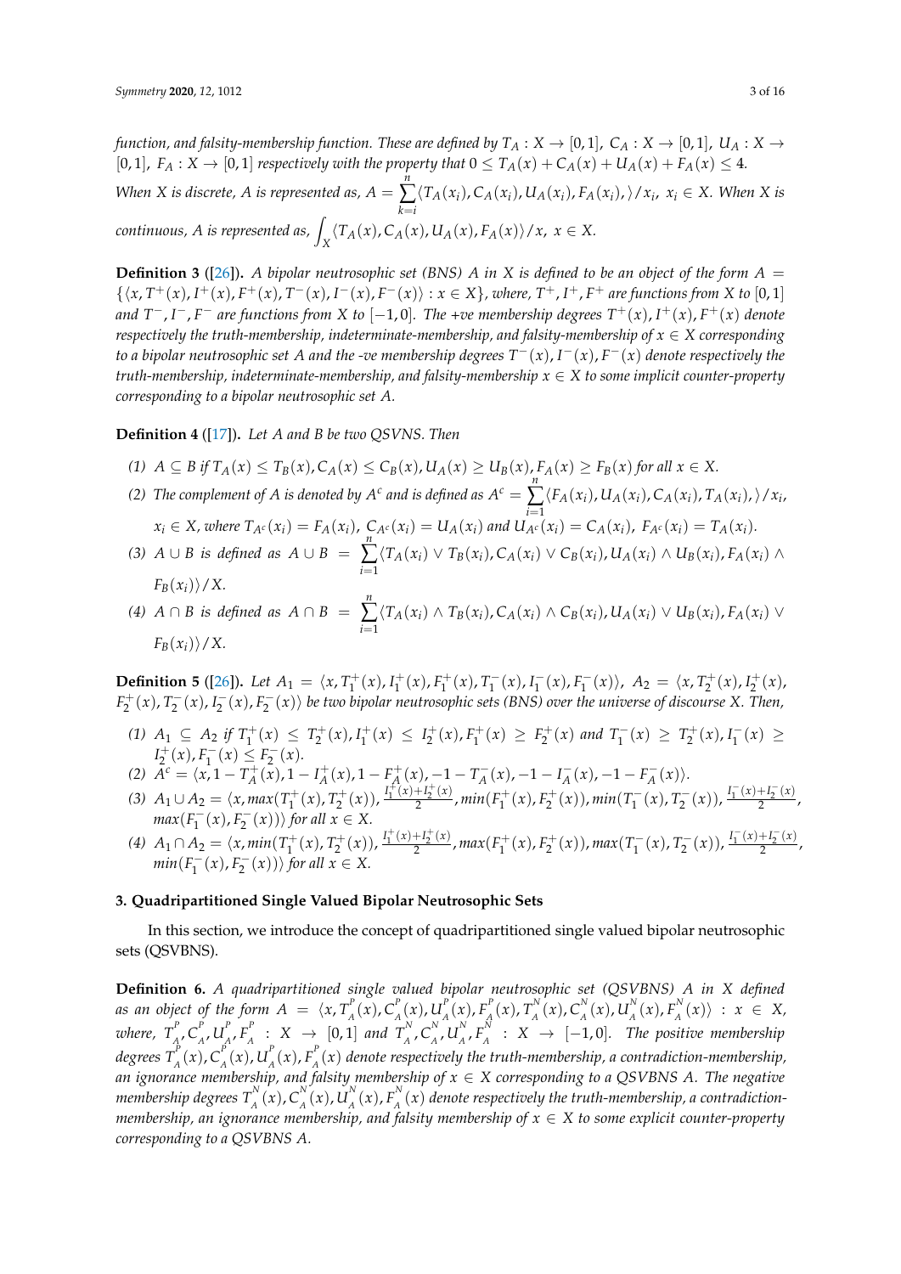*function, and falsity-membership function. These are defined by*  $T_A: X \to [0,1]$ ,  $C_A: X \to [0,1]$ ,  $U_A: X \to$ [0, 1],  $F_A: X \to [0, 1]$  *respectively with the property that*  $0 \le T_A(x) + C_A(x) + U_A(x) + F_A(x) \le 4$ .

*When X* is discrete, *A* is represented as,  $A =$ *n* ∑ *k*=*i*  $\langle T_A(x_i), C_A(x_i), U_A(x_i), F_A(x_i), \rangle / x_i, x_i \in X$ . When *X* is *continuous, A is represented as,*  $\int_X \langle T_A(x), C_A(x), U_A(x), F_A(x) \rangle / x$ ,  $x \in X$ .

**Definition 3** ([\[26\]](#page-16-10)). *A bipolar neutrosophic set (BNS) A in X is defined to be an object of the form*  $A =$  $\{\langle x, T^+(x), I^+(x), F^+(x), T^-(x), I^-(x), F^-(x)\rangle : x \in X\}$ , where,  $T^+, I^+, F^+$  are functions from X to [0, 1] *and T* <sup>−</sup>, *I* <sup>−</sup>, *F* <sup>−</sup> *are functions from X to* [−1, 0]*. The +ve membership degrees T* <sup>+</sup>(*x*), *I* <sup>+</sup>(*x*), *F* <sup>+</sup>(*x*) *denote respectively the truth-membership, indeterminate-membership, and falsity-membership of*  $x \in X$  *corresponding to a bipolar neutrosophic set A and the -ve membership degrees T* <sup>−</sup>(*x*), *I* <sup>−</sup>(*x*), *F* <sup>−</sup>(*x*) *denote respectively the truth-membership, indeterminate-membership, and falsity-membership x* ∈ *X to some implicit counter-property corresponding to a bipolar neutrosophic set A.*

**Definition 4** ([\[17\]](#page-16-3))**.** *Let A and B be two QSVNS. Then*

- (1)  $A \subseteq B$  if  $T_A(x) \leq T_B(x)$ ,  $C_A(x) \leq C_B(x)$ ,  $U_A(x) \geq U_B(x)$ ,  $F_A(x) \geq F_B(x)$  for all  $x \in X$ .
- *(2) The complement of A is denoted by*  $A^c$  *and is defined as*  $A^c = \sum_{i=1}^n$  $\langle F_A(x_i), U_A(x_i), C_A(x_i), T_A(x_i), \rangle/x_i$  $x_i \in X$ , where  $T_{A^c}(x_i) = F_A(x_i)$ ,  $C_{A^c}(x_i) = U_A(x_i)$  and  $U_{A^c}(x_i) = C_A(x_i)$ ,  $F_{A^c}(x_i) = T_A(x_i)$ .
- *(3)*  $A \cup B$  *is defined as*  $A \cup B =$ *n* ∑ *i*=1  $\langle T_A(x_i) \vee T_B(x_i), C_A(x_i) \vee C_B(x_i), U_A(x_i) \wedge U_B(x_i), F_A(x_i) \wedge$  $F_B(x_i)\rangle$  / *X*.
- *(4) A* ∩ *B is defined as A* ∩ *B* = *n* ∑ *i*=1  $\langle T_A(x_i) \wedge T_B(x_i), C_A(x_i) \wedge C_B(x_i), U_A(x_i) \vee U_B(x_i), F_A(x_i) \vee$  $F_B(x_i)$ /*X*.

**Definition 5** ([\[26\]](#page-16-10)). *Let*  $A_1 = \langle x, T_1^+(x), I_1^+(x), F_1^+(x), T_1^ I_1^-(x)$ ,  $I_1^ I_1^-(x)$ ,  $F_1^ \langle f_1^-(x) \rangle$ ,  $A_2 = \langle x, T_2^+(x), I_2^+(x) \rangle$  $F_2^+(x)$ ,  $T_2^-(x)$ ,  $I_2^-(x)$ ,  $F_2^-(x)$ ) be two bipolar neutrosophic sets (BNS) over the universe of discourse X. Then,

- $(1)$  *A*<sub>1</sub>  $\subseteq$  *A*<sub>2</sub> *if*  $T_1^+(x) \leq T_2^+(x)$ ,  $I_1^+(x) \leq I_2^+(x)$ ,  $F_1^+(x) \geq F_2^+(x)$  and  $T_1^ T_1^-(x) \geq T_2^+(x)$ ,  $I_1^ \binom{1}{1}$  (x) ≥  $I_2^+(x)$ ,  $F_1^ T_1^-(x) \leq F_2^-(x)$ .
- (2)  $\tilde{A}^c = \langle x, 1 T_A^+(\tilde{x}), 1 I_A^+(\tilde{x}), 1 F_A^+(\tilde{x}), -1 T_A^-(\tilde{x}), -1 I_A^-(\tilde{x}), -1 F_A^-(\tilde{x})\rangle.$
- (3)  $A_1 \cup A_2 = \langle x, \max(T_1^+(x), T_2^+(x)), \frac{I_1^+(x) + I_2^+(x)}{2} \rangle$  $\frac{+I_2(x)}{2}$ ,  $min(F_1^+(x)$ ,  $F_2^+(x)$ ),  $min(T_1^-)$  $\frac{I_1^-(x)+I_2^-(x)}{2}$  $\frac{1}{2}$   $\frac{1}{2}$ ,  $max(F_1^-)$  $\langle f_1^-(x), f_2^-(x) \rangle \rangle$  *for all x* ∈ *X*.
- (4)  $A_1 \cap A_2 = \langle x, min(T_1^+(x), T_2^+(x)), \frac{I_1^+(x) + I_2^+(x)}{2}$  $\frac{H_1H_2^{-1}(x)}{2}$ , max $(F_1^{+}(x)$ ,  $F_2^{+}(x)$ ), max $(T_1^{-})$  $T_1^-(x)$ ,  $T_2^-(x)$ ),  $\frac{I_1^-(x)+I_2^-(x)}{2}$  $\frac{1}{2}$ ,  $min(F_1^-)$  $\langle f_1^-(x), f_2^-(x) \rangle$  *for all*  $x \in X$ .

### <span id="page-3-0"></span>**3. Quadripartitioned Single Valued Bipolar Neutrosophic Sets**

In this section, we introduce the concept of quadripartitioned single valued bipolar neutrosophic sets (QSVBNS).

**Definition 6.** *A quadripartitioned single valued bipolar neutrosophic set (QSVBNS) A in X defined as an object of the form*  $A = \langle x, T^P_A \rangle$  $\int_A^P(x)$ ,  $C_A^P$  $\int_A^P(x)$ ,  $U_A^P$  $P_{A}^{P}(x)$ ,  $F_{A}^{P}$  $T_A^P(x)$ ,  $T_A^N$  $C_A^N(x)$ ,  $C_A^N$  $\int_A^N(x)$ ,  $U_A^N$  $_{A}^{N}(x)$ ,  $F_{A}^{N}$  $\langle A \rangle^N_A(x) \rangle$  :  $x \in X$ , where,  $T_{_A}^p$ *A* , *C P*  $_{A}^{P},U_{A}^{P}$  $\frac{P}{A}$ ,  $F_A^P$  $A^P$  :  $X \rightarrow [0, 1]$  and  $T^N_A$ <sup>*N*</sup>,  $C_A^N$  $_{A}^{N}$ ,  $U_{A}^{N}$  $_A^N$ ,  $F_A^N$  $A^N_A$  :  $X \rightarrow [-1,0]$ . The positive membership *degrees*  $T_{_A}^p$  $\int_A^P(x)$ ,  $C_A^P$  $\int_A^P(x)$ ,  $U_A^P$  $P_{A}^{P}(x)$ ,  $F_{A}^{P}$ *A* (*x*) *denote respectively the truth-membership, a contradiction-membership, an ignorance membership, and falsity membership of x* ∈ *X corresponding to a QSVBNS A. The negative membership degrees*  $T_{_A}^{\rm N}$  $C_A^N(x)$ ,  $C_A^N$  $\frac{N}{A}(x)$ ,  $U_A^N$  $_{A}^{N}(x)$ ,  $F_{A}^{N}$  $\mathcal{A}^{\mathcal{A}}(x)$  denote respectively the truth-membership, a contradiction*membership, an ignorance membership, and falsity membership of*  $x \in X$  *to some explicit counter-property corresponding to a QSVBNS A.*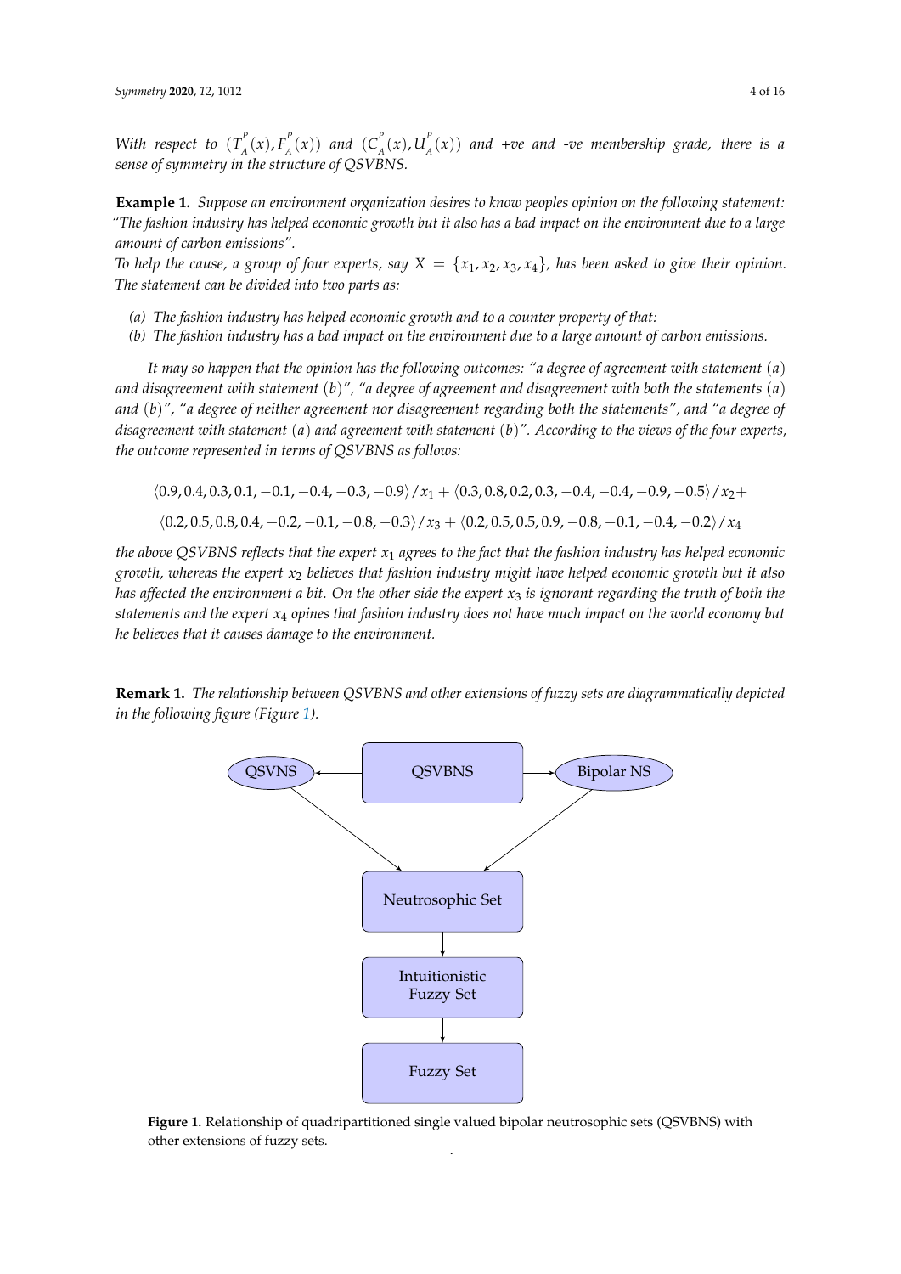*With respect to*  $(T_A^P)$  $L_A^P(x)$ ,  $F_A^P(x)$  $\binom{P}{A}(x)$  and  $\binom{C}{A}$  $\int_A^P(x)$ ,  $U_A^P$ *A* (*x*)) *and +ve and -ve membership grade, there is a sense of symmetry in the structure of QSVBNS.*

**Example 1.** *Suppose an environment organization desires to know peoples opinion on the following statement: "The fashion industry has helped economic growth but it also has a bad impact on the environment due to a large amount of carbon emissions".*

*To help the cause, a group of four experts, say*  $X = \{x_1, x_2, x_3, x_4\}$ *, has been asked to give their opinion. The statement can be divided into two parts as:*

- *(a) The fashion industry has helped economic growth and to a counter property of that:*
- *(b) The fashion industry has a bad impact on the environment due to a large amount of carbon emissions.*

*It may so happen that the opinion has the following outcomes: "a degree of agreement with statement* (*a*) *and disagreement with statement* (*b*)*", "a degree of agreement and disagreement with both the statements* (*a*) *and* (*b*)*", "a degree of neither agreement nor disagreement regarding both the statements", and "a degree of disagreement with statement* (*a*) *and agreement with statement* (*b*)*". According to the views of the four experts, the outcome represented in terms of QSVBNS as follows:*

$$
\langle 0.9, 0.4, 0.3, 0.1, -0.1, -0.4, -0.3, -0.9 \rangle / x_1 + \langle 0.3, 0.8, 0.2, 0.3, -0.4, -0.4, -0.9, -0.5 \rangle / x_2 +
$$
  

$$
\langle 0.2, 0.5, 0.8, 0.4, -0.2, -0.1, -0.8, -0.3 \rangle / x_3 + \langle 0.2, 0.5, 0.5, 0.9, -0.8, -0.1, -0.4, -0.2 \rangle / x_4
$$

*the above QSVBNS reflects that the expert x*<sup>1</sup> *agrees to the fact that the fashion industry has helped economic growth, whereas the expert x*<sup>2</sup> *believes that fashion industry might have helped economic growth but it also has affected the environment a bit. On the other side the expert x*<sup>3</sup> *is ignorant regarding the truth of both the statements and the expert x*<sup>4</sup> *opines that fashion industry does not have much impact on the world economy but he believes that it causes damage to the environment.*

<span id="page-4-0"></span>**Remark 1.** *The relationship between QSVBNS and other extensions of fuzzy sets are diagrammatically depicted in the following figure (Figure [1\)](#page-4-0).*



**Figure 1.** Relationship of quadripartitioned single valued bipolar neutrosophic sets (QSVBNS) with other extensions of fuzzy sets. .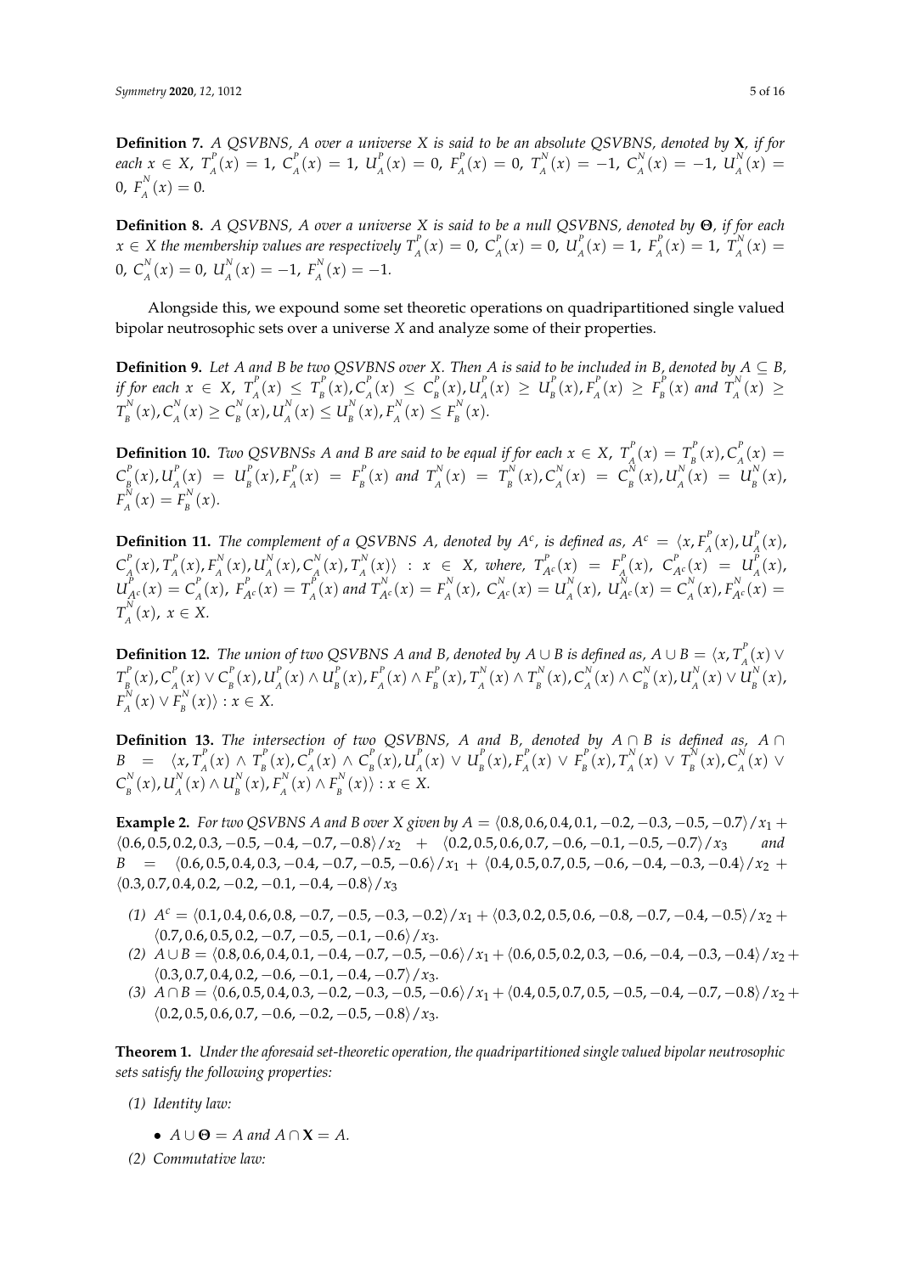**Definition 7.** *A QSVBNS, A over a universe X is said to be an absolute QSVBNS, denoted by* **X***, if for each*  $x \in X$ ,  $T_{A}^{P}$  $C_A^P(x) = 1, C_A^P$  $\binom{P}{A}(x) = 1, U_A^P$  $P_{A}^{P}(x) = 0, F_{A}^{P}$  $T_A^P(x) = 0$ ,  $T_A^N$  $C_A^N(x) = -1, C_A^N$  $U_A^N(x) = -1, U_A^N$  $\int_{A}^{N}(x) =$  $0, F_{\scriptscriptstyle A}^N$  $\int_{A}^{N}(x) = 0.$ 

**Definition 8.** *A QSVBNS, A over a universe X is said to be a null QSVBNS, denoted by* **Θ***, if for each*  $x \in X$  the membership values are respectively  $T_{\scriptscriptstyle A}^{\scriptscriptstyle P}$  $C_A^P(x) = 0, C_A^P$  $\int_{A}^{P}(x) = 0, U_{A}^{P}$  $P_{A}^{P}(x) = 1, F_{A}^{P}$  $T_A^P(x) = 1, T_A^N$  $J_{A}^{N}(x) =$  $0, C_{\scriptscriptstyle A}^N$  $\sum_{A}^{N}(x) = 0, U_{A}^{N}$  $_{A}^{N}(x) = -1, F_{A}^{N}$  $\binom{A}{A}(x) = -1.$ 

Alongside this, we expound some set theoretic operations on quadripartitioned single valued bipolar neutrosophic sets over a universe *X* and analyze some of their properties.

**Definition 9.** Let *A* and *B* be two QSVBNS over *X*. Then *A* is said to be included in *B*, denoted by  $A \subseteq B$ , *if for each*  $x \in X$ ,  $T_{A}^{P}$  $T_A^P(x) \leq T_B^P$  $\int_B^P(x)$ ,  $C_A^P$  $\binom{P}{A}(x) \leq C_p^P$  $\int_B^P(x)$ ,  $U_A^P$  $L_{A}^{P}(x) \geq U_{B}^{P}$  $\binom{P}{B}(x)$ ,  $F_A^P$  $F_{A}^{P}(x) \geq F_{B}^{P}$  $T_B^P(x)$  and  $T_A^N$  $\n *A*<sup>1</sup>(*x*) ≥$  $T_{_R}^N$  $E_B^N(x)$ ,  $C_A^N$  $C_{A}^{N}(x) \ge C_{B}^{N}$  $\binom{N}{B}(x)$ ,  $U_A^N$  $U_A^N(x) \leq U_B^N$  $E_B^N(x)$ ,  $F_A^N$  $I_A^{N}(x) \leq F_B^{N}$  $\int_{B}^{N}(x).$ 

**Definition 10.** *Two QSVBNSs A and B are said to be equal if for each*  $x \in X$ ,  $T_A^P$  $T_{A}^{P}(x) = T_{B}^{P}$  $\int_B^P(x)$ ,  $C_A^P$  $\int_{A}^{r}(x)$  =  $C_{\scriptscriptstyle R}^{\scriptscriptstyle P}$  $\binom{P}{B}(x)$ ,  $U_A^P$  $L_A^P(x) = U_B^P$  $\binom{P}{B}(x)$ ,  $F_A^P$  $F_A^P(x) = F_B^P$  $T_B^P(x)$  and  $T_A^N$  $T_A^N(x) = T_B^N$  $\binom{N}{B}(x)$ ,  $C_A^N$  $C_A^N(x) = C_B^N$  $\int_B^N(x)$ ,  $U_A^N$  $U_{A}^{N}(x) = U_{B}^{N}$  $\int_{B}^{N}(x)$ ,  $F^N_{\scriptscriptstyle A}$  $I_A^{N}(x) = F_B^{N}$  $\int_{B}^{N}(x).$ 

**Definition 11.** The complement of a QSVBNS A, denoted by  $A^c$ , is defined as,  $A^c = \langle x, F_a^c \rangle$  $U_{A}^{P}(x)$  ,  $U_{A}^{P}$  $\int_{A}^{I}(x),$  $\overline{C}_A^P$  $\frac{P}{A}$  $(x)$ ,  $T_A^P$  $\int_A^P(x)$ ,  $F_A^N$  $\int_A^N(x)$ ,  $U_A^N$  $\int_A^N(x)$ ,  $C_A^N$  $\frac{N}{A}(x)$ ,  $T_A^N$  $\{X^{N}(x)\}$  :  $x \in X$ , where,  $T^{P}_{A^{c}}(x) = F^{P}_{A}$  $C_{A^c}^P(x)$ ,  $C_{A^c}^P(x) = U_A^P(x)$  $\int_{A}^{T}(x)$ ,  $U_{A^c}^P(x) = C_A^P$  $F_{A}^{P}(x)$ ,  $F_{A^{c}}^{P}(x) = T_{A}^{P}$  $T_A^P(x)$  and  $T_{A^c}^N(x) = F_A^N$  $C_A^N(x)$ ,  $C_{A^c}^N(x) = U_A^N$  $U_A^N(x)$ ,  $U_{A^c}^N(x) = C_A^N$  $P_{A}^{N}(x)$ ,  $F_{A}^{N}(x) =$  $T^N_{\scriptscriptstyle A}$  $\int_{A}^{N}(x)$ ,  $x \in X$ .

**Definition 12.** *The union of two QSVBNS A and B, denoted by*  $A \cup B$  *is defined as,*  $A \cup B = \langle x, T_a^P \rangle$ *A* (*x*) ∨  $T_{_R}^P$  $\int_{B}^{P}(x)$ ,  $C_A^P$  $P_{A}^{P}(x)$  ∨  $C_{B}^{P}$  $\binom{P}{B}(x)$ ,  $U_A^P$  $\binom{P}{A}$  (*x*) ∧  $U_B^P$  $\binom{P}{B}(x)$ ,  $F_A^P$  $F$ <sup>*P*</sup><sub>*A*</sub> (*x*) ∧  $F$ <sup>*P*</sup><sub>*B*</sub>  $T_B^P(x)$ ,  $T_A^N$  $T_A^N(x) \wedge T_B^N$  $\binom{N}{B}(x)$ ,  $C_A^N$ *A*<sup>*N*</sup>(*x*) ∧  $C_B^N$  $L_B^N(x)$ ,  $U_A^N$  $\frac{N}{A}(x) \vee U^N_B$  $\int_{B}^{N}(x)$ ,  $F^N_{\scriptscriptstyle A}$  $L_A^N(x) \vee F_B^N$  $\binom{A}{B}$ <sup>x</sup> $\langle x \rangle$  :  $x \in X$ .

**Definition 13.** *The intersection of two QSVBNS, A and B, denoted by A* ∩ *B is defined as, A* ∩  $B = \langle x, T_A^P \rangle$  $T_A^P$  (*x*) ∧  $T_B^P$  $\int_B^P(x)$ ,  $C_A^P$  $\binom{P}{A}$  (*x*) ∧  $C_B^P$  $\int_B^P(x)$ ,  $U_A^P$  $\frac{P}{A}(x) \vee U_{B}^{P}$  $\binom{P}{B}(x)$ ,  $F_A^P$  $L_A^P(x) \vee F_B^P$  $T_B^P(x)$ ,  $T_A^N$  $T_{A}^{N}(x)$  ∨  $T_{B}^{N}$  $\int_B^N(x)$ ,  $C_A^N$ *A* (*x*) ∨  $\overline{\mathcal{C}}_{_{\mathcal{B}}}^{^{N}}$  $\binom{N}{B}(x)$ ,  $U_A^N$  $\frac{N}{A}$  (*x*) ∧  $U_B^N$  $\binom{N}{B}(x)$ ,  $F_A^N$ <sup>*N*</sup><sub>*A*</sub> (*x*) ∧  $F_B^N$  $\binom{A}{B}$ <sup>*x*</sup> $\langle x \rangle$  :  $x \in X$ .

**Example 2.** *For two QSVBNS A* and *B over X given by*  $A = \langle 0.8, 0.6, 0.4, 0.1, -0.2, -0.3, -0.5, -0.7 \rangle / x_1 +$  $\langle 0.6, 0.5, 0.2, 0.3, -0.5, -0.4, -0.7, -0.8 \rangle / x_2$  +  $\langle 0.2, 0.5, 0.6, 0.7, -0.6, -0.1, -0.5, -0.7 \rangle / x_3$  $B = \langle 0.6, 0.5, 0.4, 0.3, -0.4, -0.7, -0.5, -0.6 \rangle / x_1 + \langle 0.4, 0.5, 0.7, 0.5, -0.6, -0.4, -0.3, -0.4 \rangle / x_2 +$  $(0.3, 0.7, 0.4, 0.2, -0.2, -0.1, -0.4, -0.8)/x_3$ 

- $f(1)$   $A^c = \langle 0.1, 0.4, 0.6, 0.8, -0.7, -0.5, -0.3, -0.2 \rangle / x_1 + \langle 0.3, 0.2, 0.5, 0.6, -0.8, -0.7, -0.4, -0.5 \rangle / x_2 +$  $\langle 0.7, 0.6, 0.5, 0.2, -0.7, -0.5, -0.1, -0.6 \rangle / x_3.$
- *(2)*  $A \cup B = \langle 0.8, 0.6, 0.4, 0.1, -0.4, -0.7, -0.5, -0.6 \rangle / x_1 + \langle 0.6, 0.5, 0.2, 0.3, -0.6, -0.4, -0.3, -0.4 \rangle / x_2 +$  $\langle 0.3, 0.7, 0.4, 0.2, -0.6, -0.1, -0.4, -0.7 \rangle / x_3.$
- $\langle 3 \rangle$  *A* ∩ *B* =  $\langle 0.6, 0.5, 0.4, 0.3, -0.2, -0.3, -0.5, -0.6 \rangle / x_1 + \langle 0.4, 0.5, 0.7, 0.5, -0.5, -0.4, -0.7, -0.8 \rangle / x_2 +$  $\langle 0.2, 0.5, 0.6, 0.7, -0.6, -0.2, -0.5, -0.8 \rangle / x_3.$

**Theorem 1.** *Under the aforesaid set-theoretic operation, the quadripartitioned single valued bipolar neutrosophic sets satisfy the following properties:*

- *(1) Identity law:*
	- $A \cup \Theta = A$  and  $A \cap X = A$ .
- *(2) Commutative law:*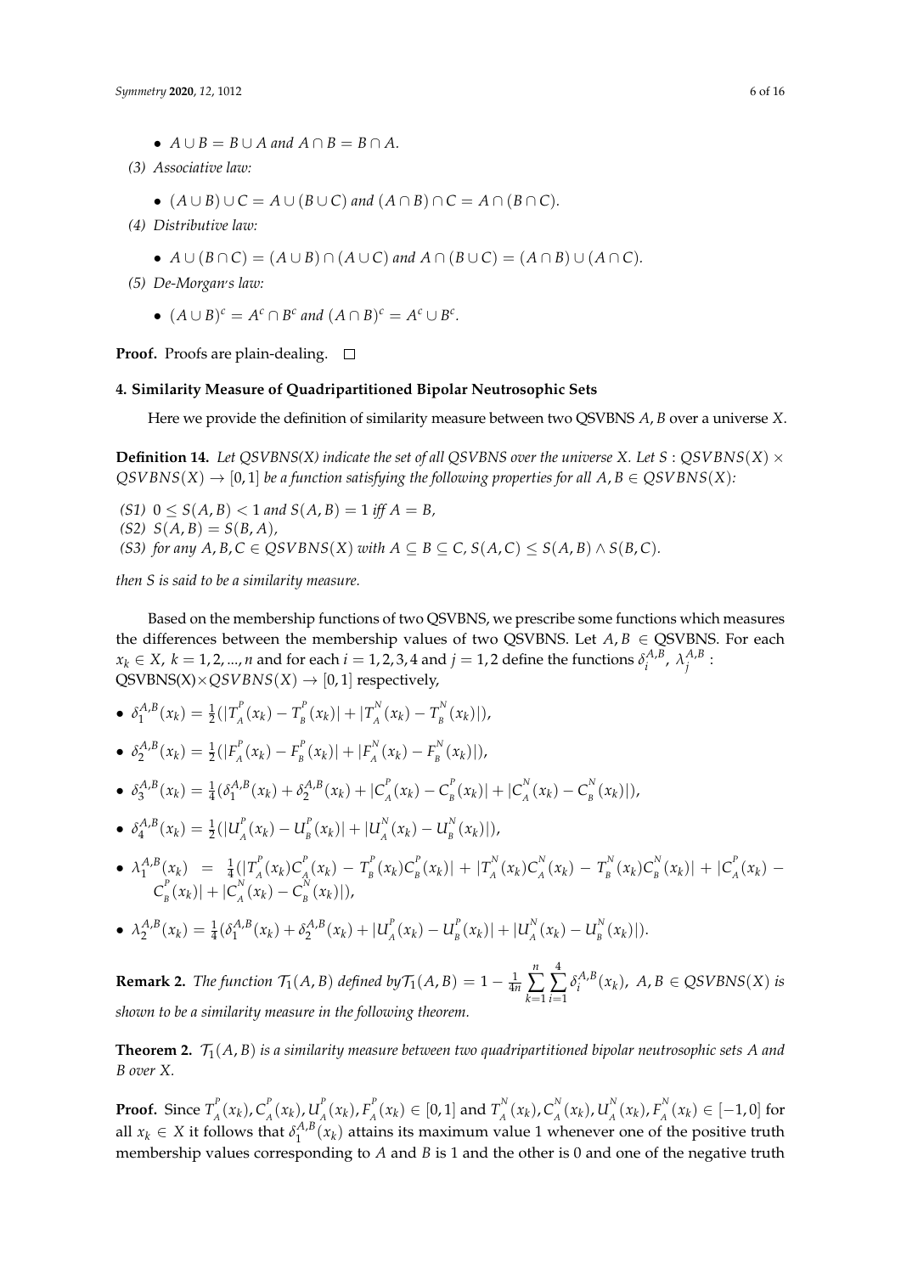- $A \cup B = B \cup A$  and  $A \cap B = B \cap A$ .
- *(3) Associative law:*
	- $(A \cup B) \cup C = A \cup (B \cup C)$  and  $(A \cap B) \cap C = A \cap (B \cap C)$ .
- *(4) Distributive law:*
	- $A \cup (B \cap C) = (A \cup B) \cap (A \cup C)$  and  $A \cap (B \cup C) = (A \cap B) \cup (A \cap C)$ .
- *(5) De-Morgan*, *s law:*
	- $(A \cup B)^c = A^c \cap B^c$  and  $(A \cap B)^c = A^c \cup B^c$ .

**Proof.** Proofs are plain-dealing. □

#### <span id="page-6-0"></span>**4. Similarity Measure of Quadripartitioned Bipolar Neutrosophic Sets**

Here we provide the definition of similarity measure between two QSVBNS *A*, *B* over a universe *X*.

**Definition 14.** Let  $OSVBNS(X)$  indicate the set of all  $OSVBNS$  over the universe *X*. Let  $S : OSVBNS(X) \times$  $QSVBNS(X) \rightarrow [0, 1]$  *be a function satisfying the following properties for all*  $A, B \in QSVBNS(X)$ *:* 

 $(51)$   $0 \le S(A, B) < 1$  *and*  $S(A, B) = 1$  *iff*  $A = B$ ,  $(S2) S(A, B) = S(B, A)$ *(S3) for any A, B, C*  $\in$  *QSVBNS*(*X*) *with A*  $\subseteq$  *B*  $\subseteq$  *C, S*(*A, C*)  $\le$  *S*(*A, B*)  $\land$  *S*(*B, C*)*.* 

*then S is said to be a similarity measure.*

Based on the membership functions of two QSVBNS, we prescribe some functions which measures the differences between the membership values of two QSVBNS. Let  $A, B \in Q$ SVBNS. For each  $x_k \in X$ ,  $k = 1, 2, ..., n$  and for each  $i = 1, 2, 3, 4$  and  $j = 1, 2$  define the functions  $\delta_i^{A,B}$  $\lambda_j^{A,B}$ ,  $\lambda_j^{A,B}$ *j* :  $QSVBNS(X)\times QSVBNS(X) \rightarrow [0, 1]$  respectively,

• 
$$
\delta_1^{A,B}(x_k) = \frac{1}{2}(|T_A^P(x_k) - T_B^P(x_k)| + |T_A^N(x_k) - T_B^N(x_k)|),
$$

• 
$$
\delta_2^{A,B}(x_k) = \frac{1}{2}(|F_A^P(x_k) - F_B^P(x_k)| + |F_A^N(x_k) - F_B^N(x_k)|),
$$

• 
$$
\delta_3^{A,B}(x_k) = \frac{1}{4} (\delta_1^{A,B}(x_k) + \delta_2^{A,B}(x_k) + |C_A^P(x_k) - C_B^P(x_k)| + |C_A^N(x_k) - C_B^N(x_k)|),
$$

• 
$$
\delta_4^{A,B}(x_k) = \frac{1}{2}(|U_A^P(x_k) - U_B^P(x_k)| + |U_A^N(x_k) - U_B^N(x_k)|),
$$

• 
$$
\lambda_1^{A,B}(x_k) = \frac{1}{4}(|T_A^P(x_k)C_A^P(x_k) - T_B^P(x_k)C_B^P(x_k)| + |T_A^N(x_k)C_A^N(x_k) - T_B^N(x_k)C_B^N(x_k)| + |C_A^P(x_k) - C_B^P(x_k)|)
$$
,

• 
$$
\lambda_2^{A,B}(x_k) = \frac{1}{4} (\delta_1^{A,B}(x_k) + \delta_2^{A,B}(x_k) + |U_A^P(x_k) - U_B^P(x_k)| + |U_A^N(x_k) - U_B^N(x_k)|).
$$

**Remark 2.** *The function*  $\mathcal{T}_1(A, B)$  *defined*  $by\mathcal{T}_1(A, B) = 1 - \frac{1}{4n}$ *n* ∑ *k*=1  $\sum_{i=1}^{4}$  $\delta_i^{A,B}$  $\int_{i}^{A,B}(x_k)$ ,  $A, B \in QSVBNS(X)$  *is shown to be a similarity measure in the following theorem.*

<span id="page-6-1"></span>**Theorem 2.**  $\mathcal{T}_1(A, B)$  *is a similarity measure between two quadripartitioned bipolar neutrosophic sets* A *and B over X.*

**Proof.** Since  $T_A^P$  $\int_A^P(x_k)$ ,  $C_A^P$  $\int_A^P(x_k)$ ,  $U_A^P$  $\int_A^P(x_k)$ ,  $F_A^P$  $T_A^P(x_k) \in [0,1]$  and  $T_A^N$  $C_A^N(x_k)$ ,  $C_A^N$  $\frac{N}{A}(x_k)$ ,  $U_A^N$  $_{A}^{N}(x_{k})$ ,  $F_{A}^{N}$  $A^{\prime\prime}$ <sup>*A*</sup> (*x*<sub>*k*</sub>) ∈ [−1, 0] for all  $x_k \in X$  it follows that  $\delta_1^{A,B}$  $\int_1^{A,B}(x_k)$  attains its maximum value 1 whenever one of the positive truth membership values corresponding to *A* and *B* is 1 and the other is 0 and one of the negative truth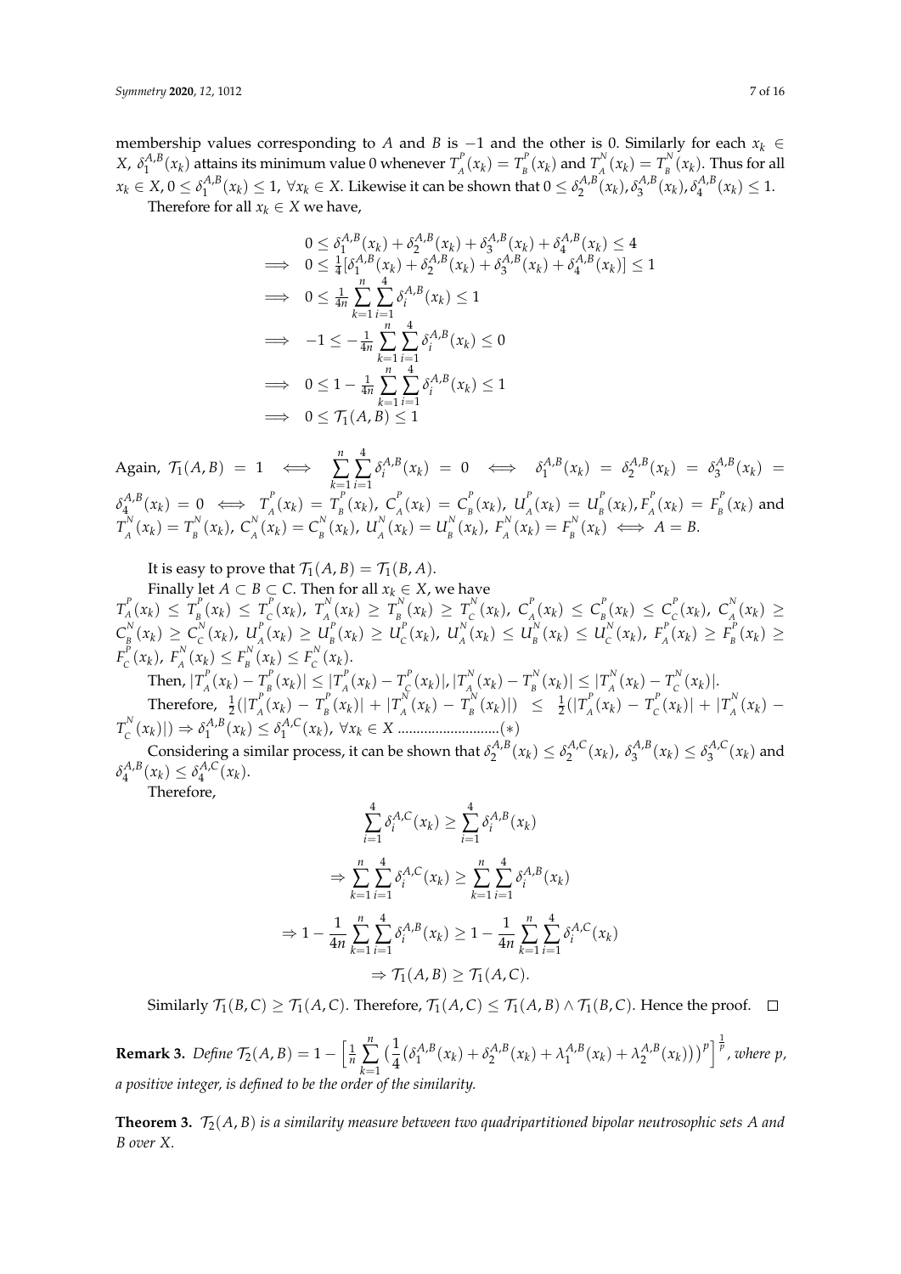membership values corresponding to *A* and *B* is −1 and the other is 0. Similarly for each *x<sup>k</sup>* ∈ *X*, *δ A*,*B*  $\binom{A,B}{1}$  ( $x_k$ ) attains its minimum value 0 whenever  $T_A^P$  $T_{A}^{P}(x_{k}) = T_{B}^{P}$  $\int_B^P(x_k)$  and  $T_A^N$  $T_{A}^{N}(x_{k}) = T_{B}^{N}$  $\int_{B}^{N}(x_k)$ . Thus for all  $x_k \in X$ ,  $0 \leq \delta_1^{A,B}$  $\{A,B}_{1}(x_{k}) \leq 1$ ,  $\forall x_{k} \in X$ . Likewise it can be shown that  $0 \leq \delta_{2}^{A,B}(x_{k})$ ,  $\delta_{3}^{A,B}(x_{k})$ ,  $\delta_{4}^{A,B}(x_{k})$  $\zeta_4^{A,B}(x_k) \leq 1.$ Therefore for all  $x_k \in X$  we have,

$$
0 \leq \delta_1^{A,B}(x_k) + \delta_2^{A,B}(x_k) + \delta_3^{A,B}(x_k) + \delta_4^{A,B}(x_k) \leq 4
$$
  
\n
$$
\implies 0 \leq \frac{1}{4} [\delta_1^{A,B}(x_k) + \delta_2^{A,B}(x_k) + \delta_3^{A,B}(x_k) + \delta_4^{A,B}(x_k)] \leq 1
$$
  
\n
$$
\implies 0 \leq \frac{1}{4n} \sum_{k=1}^n \sum_{i=1}^4 \delta_i^{A,B}(x_k) \leq 1
$$
  
\n
$$
\implies -1 \leq -\frac{1}{4n} \sum_{k=1}^n \sum_{i=1}^4 \delta_i^{A,B}(x_k) \leq 0
$$
  
\n
$$
\implies 0 \leq 1 - \frac{1}{4n} \sum_{k=1}^n \sum_{i=1}^4 \delta_i^{A,B}(x_k) \leq 1
$$
  
\n
$$
\implies 0 \leq \mathcal{T}_1(A,B) \leq 1
$$

Again,  $\mathcal{T}_1(A, B) = 1 \iff$  $\sum_{i=1}^{n} \sum_{j=1}^{4} \delta_i^{A,B}$ *k*=1 *i*=1  $\delta_i^{A,B}(x_k) = 0 \iff \delta_1^{A,B}$  $\delta_1^{A,B}(x_k) = \delta_2^{A,B}(x_k) = \delta_3^{A,B}(x_k) =$  $\delta_4^{A,B}$  $T_A^{A,B}(x_k) = 0 \iff T_A^P$  $T_{A}^{P}(x_{k}) = T_{B}^{P}$  $\int_{B}^{P} (x_k)$ ,  $C_A^{P}$  $\int_{A}^{P}(x_k) = C_{B}^{P}$  $\int_B^P(x_k)$ ,  $U_A^P$  $U_{A}^{P}(x_{k}) = U_{B}^{P}$  $\int_B^P(x_k)$ ,  $F_A^P$  $F_A^P(x_k) = F_B^P$  $E_B^2(x_k)$  and  $T^N_{\scriptscriptstyle A}$  $T_A^N(x_k) = T_B^N$  $E_B^N(x_k)$ ,  $C_A^N$  $\binom{N}{A}(x_k) = C_B^N$  $\int_B^N(x_k)$ ,  $U_A^N$  $U_{A}^{N}(x_{k}) = U_{B}^{N}$  $E_B^N(x_k)$ ,  $F_A^N$  $F_A^N(x_k) = F_B^N$  $B_B^{P^N}(x_k) \iff A = B.$ 

It is easy to prove that  $\mathcal{T}_1(A,B) = \mathcal{T}_1(B,A)$ .

Finally let *A*  $\subset$  *B*  $\subset$  *C*. Then for all  $x_k \in X$ , we have  $T^P_A$  $T_{A}^{P}(x_{k}) \leq T_{B}^{P}$  $T_{B}^{P}(x_{k}) \leq T_{C}^{P}$  $C^P(X_k)$ ,  $T^N_{A_k}$  $T_{A}^{N}(x_{k}) \geq T_{B}^{N}$  $T_{B}^{N}(x_{k}) \geq T_{C}^{N}$  $C_{c}^{N}(x_{k})$ ,  $C_{A}^{P}$  $\int_{A}^{P}(x_k) \leq C_{B}^{P}$  $\int_{B}^{P}(x_k) \leq C_{C}^{P}$  $C_{C}^{P}(x_{k})$ ,  $C_{A}^{N}$  $\frac{X}{A}(x_k) \geq$  $\overline{\mathcal{C}}_{_{\mathcal{B}}}^{^{N}}$  $\frac{N}{B}(x_k) \ge C_c^N$  $\int_{C}^{N}(x_k)$ ,  $U_A^P$  $\bigcup_{A}^{P}(x_{k}) \geq U_{B}^{P}$  $L_{B}^{P}(x_{k}) \geq U_{C}^{P}$  $C^{P}(x_{k})$ ,  $U_{A}^{N}$  $U_{A}^{N}(x_{k}) \leq U_{B}^{N}$  $L_{B}^{N}(x_{k}) \leq U_{C}^{N}$  $C_{C}^{N}(x_{k}), F_{A}^{P}$  $F_A^P(x_k) \geq F_B^P$  $\int_B^P(x_k) \geq$  $F_c^P$  $E_C^P(x_k)$ ,  $F_A^N$  $F_A^N(x_k) \leq F_B^N$  $F_B^N(x_k) \leq F_C^N$  $\int_{C}^{N}(x_k)$ . Then,  $|T_{_A}^p$  $\frac{A}{A}(x_k) - T_B^P$  $|T_{B}^{P}(x_{k})| \leq |T_{A}^{P}|$  $T_A^P(x_k) - T_C^P$  $\int_{\mathcal{C}}^P(x_k)|$  ,  $\left|T_A^N\right|$  $T_A^N(x_k)-T_B^N$  $|T_A^N(x_k)| \leq |T_A^N|$  $T_A^N(x_k) - T_C^N$  $C^{N}(x_k)$ .

Therefore,  $\frac{1}{2}(|T_A^P$  $T_{A}^{P}(x_{k}) - T_{B}^{P}$  $\binom{P}{B}(x_k)$  | +  $\binom{P}{A}$  $T_{A}^{N}(x_{k}) - T_{B}^{N}$  $\frac{1}{B}$ <sup>*N*</sup>(*x<sub>k</sub>*)|)  $\leq \frac{1}{2}$ (|*T*<sub>*A*</sub><sup>*B*</sup>  $T_A^P(x_k) - T_C^P$  $\int_{C}^{P}(x_k)| + |T_A^{N}|$  $\int_A^N (x_k) T_c^N$  $\phi_c^N(x_k)|\rightarrow \delta_1^{A,B}$  $A_1^{A,B}(x_k) \leq \delta_1^{A,C}$ 1 (*x<sup>k</sup>* ), ∀*x<sup>k</sup>* ∈ *X* ...........................(∗)

Considering a similar process, it can be shown that  $\delta_2^{A,B}(x_k) \leq \delta_2^{A,C}(x_k)$ ,  $\delta_3^{A,B}(x_k) \leq \delta_3^{A,C}(x_k)$  and  $\delta_4^{A,B}$  $\delta_4^{A,B}(x_k) \leq \delta_4^{A,C}$  $x_{4}^{A,\mathsf{C}}(x_{k}).$ 

Therefore,

$$
\sum_{i=1}^{4} \delta_i^{A,C}(x_k) \ge \sum_{i=1}^{4} \delta_i^{A,B}(x_k)
$$
  
\n
$$
\Rightarrow \sum_{k=1}^{n} \sum_{i=1}^{4} \delta_i^{A,C}(x_k) \ge \sum_{k=1}^{n} \sum_{i=1}^{4} \delta_i^{A,B}(x_k)
$$
  
\n
$$
\Rightarrow 1 - \frac{1}{4n} \sum_{k=1}^{n} \sum_{i=1}^{4} \delta_i^{A,B}(x_k) \ge 1 - \frac{1}{4n} \sum_{k=1}^{n} \sum_{i=1}^{4} \delta_i^{A,C}(x_k)
$$
  
\n
$$
\Rightarrow \mathcal{T}_1(A,B) \ge \mathcal{T}_1(A,C).
$$

Similarly  $\mathcal{T}_1(B,C) \geq \mathcal{T}_1(A,C)$ . Therefore,  $\mathcal{T}_1(A,C) \leq \mathcal{T}_1(A,B) \wedge \mathcal{T}_1(B,C)$ . Hence the proof.  $\Box$ 

**Remark 3.** *Define*  $\mathcal{T}_2(A, B) = 1 - \left[\frac{1}{n}\right]$ *n* ∑ *k*=1  $\left(\frac{1}{4}\right)$ 4  $\delta_1^{A,B}$  $\delta_1^{A,B}(x_k) + \delta_2^{A,B}(x_k) + \lambda_1^{A,B}$  $\left[ \frac{A}{1}^{A,B}(x_k) + \lambda_2^{A,B}(x_k) \right] \right]^{p}$ , where p, *a positive integer, is defined to be the order of the similarity.*

**Theorem 3.**  $\mathcal{T}_2(A, B)$  *is a similarity measure between two quadripartitioned bipolar neutrosophic sets A and B over X.*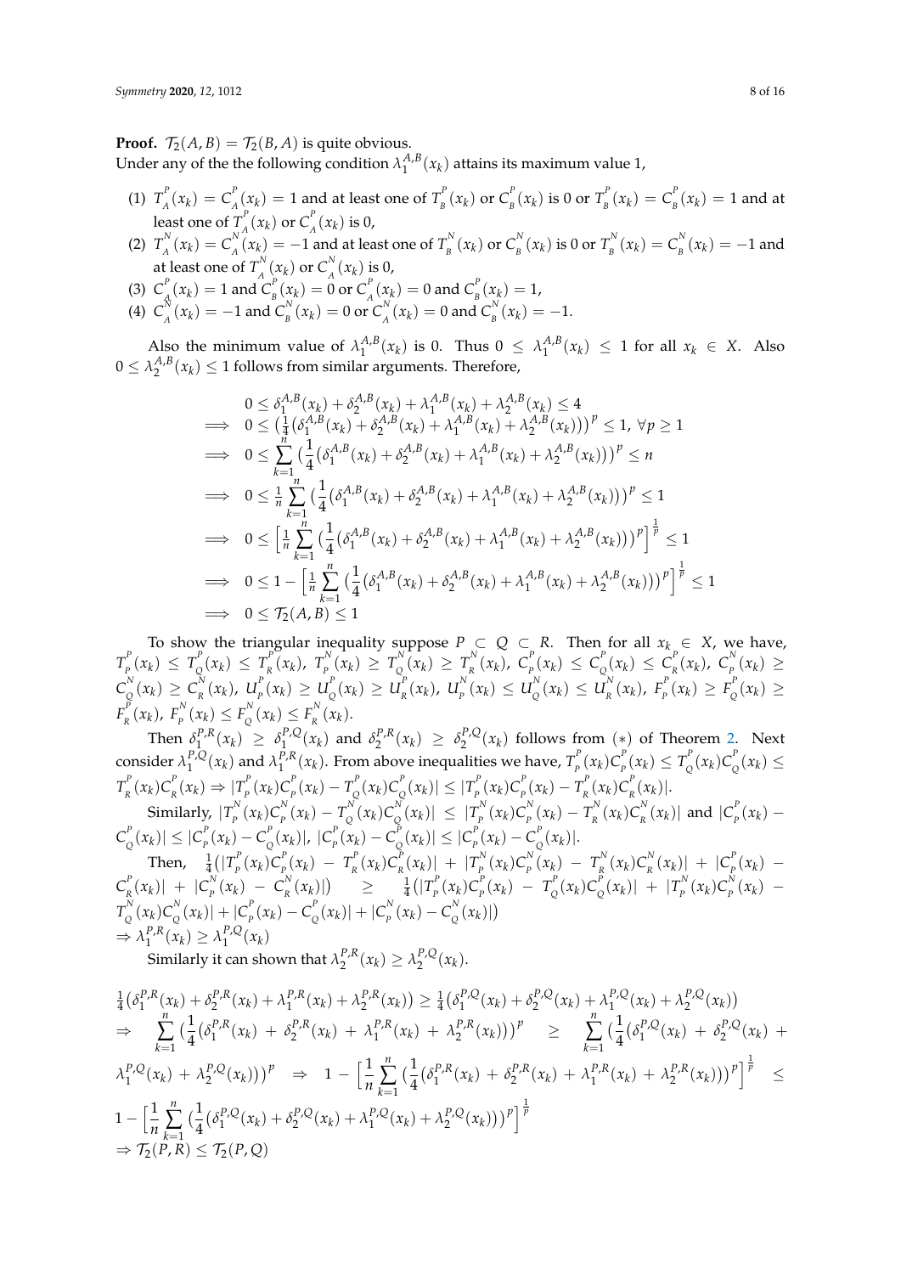**Proof.**  $\mathcal{T}_2(A, B) = \mathcal{T}_2(B, A)$  is quite obvious.

Under any of the the following condition  $\lambda_1^{A,B}$  $\int_1^{A,B}(x_k)$  attains its maximum value 1,

- (1)  $T_A^P(x_k) = C_A^P(x_k) = 1$  and at least one of  $T_B^P(x_k)$  or  $C_B^P(x_k)$  is 0 or  $T_B^P(x_k) = C_B^P(x_k) = 1$  and at  $A^{(1)}(R)$  =  $A^{(1)}(R)$  =  $B^{(2)}(R)$  =  $B^{(3)}(R)$  =  $B^{(4)}(R)$  =  $B^{(4)}(R)$  =  $B^{(4)}(R)$  =  $B^{(4)}(R)$  =  $B^{(4)}(R)$ least one of  $T^P_{\scriptscriptstyle{A}}$  $\int_A^P(x_k)$  or  $C_A^P$  $\int_A^r (x_k)$  is 0,
- (2)  $T_{4}^{N}$  $C_A^N(x_k) = C_A^N$  $\binom{N}{A}(x_k) = -1$  and at least one of  $T_B^N$  $\int_B^N (x_k)$  or  $C_B^N$  $\frac{N}{B}(x_k)$  is 0 or  $T_B^N$  $C_{B}^{N}(x_{k}) = C_{B}^{N}$  $\int_{B}^{N}(x_k) = -1$  and at least one of  $T^N_A$  $\int_A^N (x_k)$  or  $C_A^N$  $\int_{A}^{R} (x_k)$  is 0,
- (3)  $C_{_A}^P$  $\frac{P}{A}$ ( $x_k$ ) = 1 and  $C_p^P$  $E_{B}^{P}(\chi_{k}) = 0$  or  $C_{A}^{P}$  $\int_A^P(x_k) = 0$  and  $C_B^P$  $\binom{p}{B}(x_k) = 1$ ,
- (4)  $C_{\tiny A}^{\tiny N}$  $\int_A^N (x_k) = -1$  and  $C_B^N$  $\sum_{B}^{N}(x_{k})=0$  or  $C_{A}^{N}$  $\int_A^N (x_k) = 0$  and  $C_B^N$  $\binom{B}{B}(x_k) = -1.$

Also the minimum value of  $\lambda_1^{A,B}$  $\lambda_1^{A,B}(x_k)$  is 0. Thus  $0 \leq \lambda_1^{A,B}$  $\binom{A,B}{1}(x_k) \leq 1$  for all  $x_k \in X$ . Also  $0 \leq \lambda_2^{A,B}(x_k) \leq 1$  follows from similar arguments. Therefore,

$$
0 \leq \delta_{1}^{A,B}(x_{k}) + \delta_{2}^{A,B}(x_{k}) + \lambda_{1}^{A,B}(x_{k}) + \lambda_{2}^{A,B}(x_{k}) \leq 4
$$
  
\n
$$
\implies 0 \leq (\frac{1}{4}(\delta_{1}^{A,B}(x_{k}) + \delta_{2}^{A,B}(x_{k}) + \lambda_{1}^{A,B}(x_{k}) + \lambda_{2}^{A,B}(x_{k})))^{p} \leq 1, \forall p \geq 1
$$
  
\n
$$
\implies 0 \leq \sum_{k=1}^{n} (\frac{1}{4}(\delta_{1}^{A,B}(x_{k}) + \delta_{2}^{A,B}(x_{k}) + \lambda_{1}^{A,B}(x_{k}) + \lambda_{2}^{A,B}(x_{k})))^{p} \leq n
$$
  
\n
$$
\implies 0 \leq \frac{1}{n} \sum_{k=1}^{n} (\frac{1}{4}(\delta_{1}^{A,B}(x_{k}) + \delta_{2}^{A,B}(x_{k}) + \lambda_{1}^{A,B}(x_{k}) + \lambda_{2}^{A,B}(x_{k})))^{p} \leq 1
$$
  
\n
$$
\implies 0 \leq [\frac{1}{n} \sum_{k=1}^{n} (\frac{1}{4}(\delta_{1}^{A,B}(x_{k}) + \delta_{2}^{A,B}(x_{k}) + \lambda_{1}^{A,B}(x_{k}) + \lambda_{2}^{A,B}(x_{k})))^{p}]^{\frac{1}{p}} \leq 1
$$
  
\n
$$
\implies 0 \leq 1 - [\frac{1}{n} \sum_{k=1}^{n} (\frac{1}{4}(\delta_{1}^{A,B}(x_{k}) + \delta_{2}^{A,B}(x_{k}) + \lambda_{1}^{A,B}(x_{k}) + \lambda_{2}^{A,B}(x_{k})))^{p}]^{\frac{1}{p}} \leq 1
$$
  
\n
$$
\implies 0 \leq \mathcal{T}_{2}(A,B) \leq 1
$$

To show the triangular inequality suppose  $P \subset Q \subset R$ . Then for all  $x_k \in X$ , we have,  $T_{_p}^P$  $T_{p}^{P}(x_{k}) \leq T_{Q}^{P}$  $T_R^P(x_k) \leq T_R^P(x_k)$  $T_R^P(x_k)$ ,  $T_P^N$  $T_p^N(x_k) \ge T_Q^N$  $T_{Q}^{N}(x_{k}) \geq T_{R}^{N}$  $C_p^N(x_k)$ ,  $C_p^P$  $P_{P}^{P}(x_k) \leq C_{Q}^{P}$  $C_{Q}^{P}(x_{k}) \leq C_{R}^{P}$  $_{R}^{P}(x_{k})$ ,  $C_{P}^{N}$  $P_{P}^{N}(x_k)$  ≥  $C^N_{\alpha}$  $C_{Q}^{N}(x_{k}) \geq C_{R}^{N}$  $_{R}^{N}(x_{k})$ ,  $U_{p}^{P}$  $_{P}^{P}(x_{k}) \geq U_{Q}^{P}$  $\frac{d^{p}}{d}(x_{k}) \geq U_{R}^{P}$  $L_{R}^{P}(x_{k})$ ,  $U_{P}^{N}$  $_{P}^{N}(x_{k}) \leq U_{Q}^{N}$  $Q_{Q}^{N}(x_{k}) \leq U_{R}^{N}$  $_{R}^{N}(x_{k})$ ,  $F_{p}^{P}$  $F_P^P(x_k) \geq F_Q^P$  $P_Q^F(x_k)$  ≥  $F_{_R}^P$  $F_R^P(x_k)$ ,  $F_P^N$  $P_P^N(x_k) \leq F_Q^N$  $F_Q^N(x_k) \leq F_R^N$  $\int_R^{N}(x_k)$ .

Then  $\delta_1^{P,R}$  $\delta_1^{P,R}(x_k) \geq \delta_1^{P,Q}$  $\int_{1}^{P,Q}(x_k)$  and  $\delta_2^{P,R}(x_k) \geq \delta_2^{P,Q}$  $\int_{2}^{P,Q}(x_k)$  follows from  $(*)$  of Theorem [2.](#page-6-1) Next consider  $\lambda_1^{P,Q}(x_k)$  and  $\lambda_1^{P,R}(x_k)$ . From above inequalities we have,  $T_p^P(x_k)C_p^P(x_k) \leq T_o^P(x_k)C_o^P(x_k) \leq$  $\int_1^a (x_k) \, dx$  and  $\int_1^a (x_k)$ . Then above inequantles we have,  $I_p(x_k) e_p(x_k) \ge I_Q(x_k) e_q(x_k)$  $T_{_R}^P$  $\int_R^P (x_k) C_R^P$  $_{R}^{P}(x_{k}) \Rightarrow |T_{P}^{P}$  $\int_{P}^{P} (x_k) C_p^P$  $\frac{P}{P}(x_k) - T_{Q}^P$  $\int_{Q}^{P}(x_k)C_{Q}^{P}$  $|T_{Q}^{P}(x_{k})| \leq |T_{P}^{P}|$  $\int_{P}^{P}(x_k)C_p^P$  $T_{P}^{P}(x_{k}) - T_{R}^{P}$  $\int_R^P (x_k) C_R^P$  $\binom{F}{R}(x_k)$ . Similarly,  $|T_{p}^{N}|$  $P_P^N(x_k)C_P^N$  $\frac{N}{P}(x_k) - T_Q^N$  $\int_{Q}^{N}(x_k)C_{Q}^{N}$  $|T_p^N(x_k)| \leq |T_p^N|$  $P_P^N(x_k)C_P^N$  $_{P}^{N}(x_{k})-T_{R}^{N}$  $C_R^N(x_k)C_R^N$  $\binom{N}{R}(x_k)$  and  $|C_p^F$  $P_P^{\text{P}}(x_k) C_c^P$  $|C_{Q}^{P}(x_{k})| \leq |C_{P}^{P}(x_{k})|$  $P_{P}^{P}(x_{k}) - C_{Q}^{P}$  $\int_{Q}^{P}(x_k) |$ ,  $|C_p^P$  $P_{P}^{P}(x_{k}) - C_{Q}^{P}$  $|C_{Q}^{P}(x_{k})| \leq |C_{P}^{P}(x_{k})|$  $\int_{P}^{P}(x_k) - C_{\zeta}^{P}$  $\int_{Q}^{P}(x_k)$ .

Then,  $\frac{1}{4}(|T_p^p)$  $\int_{P}^{P}(x_k)C_{P}^{P}$  $T_{P}^{P}(x_k) - T_{R}^{P}$  $\int_R^P (x_k) C_R^P$  $\binom{P}{R}(x_k)$  +  $\binom{P}{P}$  $P_P^N(x_k)C_P^N$  $T_{p}^{N}(x_{k}) - T_{R}^{N}$  $\frac{R}{R}(x_k)C_R^N$  $\frac{N}{R}(x_k)$  +  $|C_p^P$  $P_P^{\,P}(x_k) \overline{C}^P_{_R}$  $\int_{R}^{P} (x_k) | + |C_p^N|$  $P_P^N(x_k) - C_R^N$  $\frac{1}{4}(|T_p^P|)$   $\geq$   $\frac{1}{4}(|T_p^P|)$  $\int_{P}^{P}(x_k)C_p^P$  $T_{p}^{P}(x_{k}) - T_{Q}^{P}$  $\int_{Q}^{P}(x_k)C_{Q}^{P}$  $\left| \frac{P}{Q}(x_k) \right| + \left| T_p^N \right|$  $\int_{P}^{N}(x_k)C_p^N$  $P_P^{(N)}(x_k) T^N_{\Omega}$  $\int_{Q}^{N}(x_k)C_{Q}^{N}$  $\int_{Q}^{N}(x_{k})| + |C_{p}^{P}|$  $\frac{P}{P}(x_k) - C$ <sup>p</sup>  $\int_{Q}^{P} (x_k) | + |C_p^{N}|$  $P_P^N(x_k) - C_Q^N$  $\binom{N}{Q}(x_k)$  $\Rightarrow \lambda_1^{P,R}$  $\lambda_1^{P,R}(x_k) \geq \lambda_1^{P,Q}$  $\int_1^{P,Q}(x_k)$ 

Similarly it can shown that  $\lambda_2^{P,R}(x_k) \geq \lambda_2^{P,Q}$  $2^{P,Q}(x_k)$ .

$$
\frac{1}{4}(\delta_{1}^{P,R}(x_{k}) + \delta_{2}^{P,R}(x_{k}) + \lambda_{1}^{P,R}(x_{k}) + \lambda_{2}^{P,R}(x_{k})) \geq \frac{1}{4}(\delta_{1}^{P,Q}(x_{k}) + \delta_{2}^{P,Q}(x_{k}) + \lambda_{1}^{P,Q}(x_{k}) + \lambda_{2}^{P,Q}(x_{k}))
$$
\n
$$
\Rightarrow \sum_{k=1}^{n} \left(\frac{1}{4}(\delta_{1}^{P,R}(x_{k}) + \delta_{2}^{P,R}(x_{k}) + \lambda_{1}^{P,R}(x_{k}) + \lambda_{2}^{P,R}(x_{k})))\right)^{p} \geq \sum_{k=1}^{n} \left(\frac{1}{4}(\delta_{1}^{P,Q}(x_{k}) + \delta_{2}^{P,Q}(x_{k}) + \lambda_{1}^{P,Q}(x_{k}))\right)^{p}
$$
\n
$$
\Rightarrow \lambda_{1}^{P,Q}(x_{k}) + \lambda_{2}^{P,Q}(x_{k})))^{p} \Rightarrow 1 - \left[\frac{1}{n}\sum_{k=1}^{n} \left(\frac{1}{4}(\delta_{1}^{P,R}(x_{k}) + \delta_{2}^{P,R}(x_{k}) + \lambda_{1}^{P,R}(x_{k}) + \lambda_{2}^{P,R}(x_{k})))\right)^{p}\right]^{\frac{1}{p}} \leq
$$
\n
$$
1 - \left[\frac{1}{n}\sum_{k=1}^{n} \left(\frac{1}{4}(\delta_{1}^{P,Q}(x_{k}) + \delta_{2}^{P,Q}(x_{k}) + \lambda_{1}^{P,Q}(x_{k}) + \lambda_{2}^{P,Q}(x_{k})))\right]^{\frac{1}{p}}
$$
\n
$$
\Rightarrow \mathcal{T}_{2}(P,R) \leq \mathcal{T}_{2}(P,Q)
$$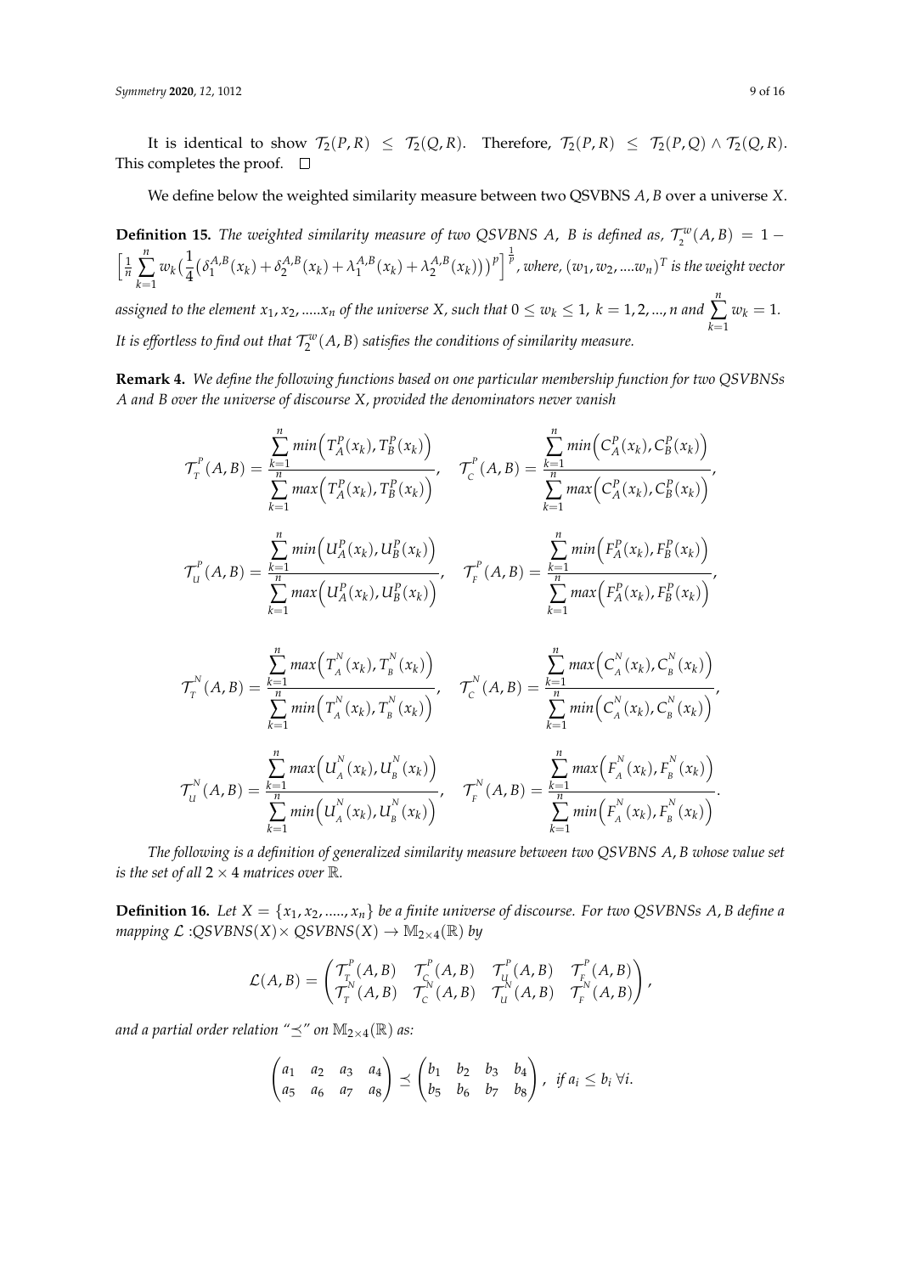It is identical to show  $\mathcal{T}_2(P, R) \leq \mathcal{T}_2(Q, R)$ . Therefore,  $\mathcal{T}_2(P, R) \leq \mathcal{T}_2(P, Q) \wedge \mathcal{T}_2(Q, R)$ . This completes the proof.  $\square$ 

We define below the weighted similarity measure between two QSVBNS *A*, *B* over a universe *X*.

**Definition 15.** *The weighted similarity measure of two QSVBNS A, B is defined as,*  $\mathcal{T}_2^w(A, B) = 1 \frac{1}{n}$ *n* ∑ *k*=1  $w_k(\frac{1}{4})$ 4  $\delta_1^{A,B}$  $\lambda_1^{A,B}(x_k) + \delta_2^{A,B}(x_k) + \lambda_1^{A,B}$  $\int_{1}^{A,B}(x_k)+\lambda_2^{A,B}(x_k))\big)^p\Big]^{\frac{1}{p}}$ , where,  $(w_1,w_2,....w_n)^T$  is the weight vector *assigned to the element*  $x_1, x_2, ..... x_n$  *of the universe X, such that*  $0 \leq w_k \leq 1$ *,*  $k=1,2,...,n$  *and n* ∑ *k*=1  $w_k = 1$ .

It is effortless to find out that  $\mathcal{T}^w_2(A,B)$  satisfies the conditions of similarity measure.

**Remark 4.** *We define the following functions based on one particular membership function for two QSVBNSs A and B over the universe of discourse X, provided the denominators never vanish*

$$
\mathcal{T}_{r}^{P}(A,B) = \frac{\sum_{k=1}^{n} min\left(T_{A}^{P}(x_{k}), T_{B}^{P}(x_{k})\right)}{\sum_{k=1}^{n} max\left(T_{A}^{P}(x_{k}), T_{B}^{P}(x_{k})\right)}, \quad \mathcal{T}_{C}^{P}(A,B) = \frac{\sum_{k=1}^{n} min\left(C_{A}^{P}(x_{k}), C_{B}^{P}(x_{k})\right)}{\sum_{k=1}^{n} max\left(C_{A}^{P}(x_{k}), C_{B}^{P}(x_{k})\right)},
$$
\n
$$
\mathcal{T}_{U}^{P}(A,B) = \frac{\sum_{k=1}^{n} min\left(U_{A}^{P}(x_{k}), U_{B}^{P}(x_{k})\right)}{\sum_{k=1}^{n} max\left(U_{A}^{P}(x_{k}), U_{B}^{P}(x_{k})\right)}, \quad \mathcal{T}_{F}^{P}(A,B) = \frac{\sum_{k=1}^{n} min\left(F_{A}^{P}(x_{k}), F_{B}^{P}(x_{k})\right)}{\sum_{k=1}^{n} max\left(F_{A}^{P}(x_{k}), F_{B}^{P}(x_{k})\right)},
$$
\n
$$
\mathcal{T}_{T}^{N}(A,B) = \frac{\sum_{k=1}^{n} max\left(T_{A}^{N}(x_{k}), T_{B}^{N}(x_{k})\right)}{\sum_{k=1}^{n} min\left(T_{A}^{N}(x_{k}), T_{B}^{N}(x_{k})\right)}, \quad \mathcal{T}_{C}^{N}(A,B) = \frac{\sum_{k=1}^{n} max\left(C_{A}^{N}(x_{k}), C_{B}^{N}(x_{k})\right)}{\sum_{k=1}^{n} min\left(C_{A}^{N}(x_{k}), C_{B}^{N}(x_{k})\right)},
$$
\n
$$
\mathcal{T}_{U}^{N}(A,B) = \frac{\sum_{k=1}^{n} max\left(U_{A}^{N}(x_{k}), U_{B}^{N}(x_{k})\right)}{\sum_{k=1}^{n} min\left(U_{A}^{N}(x_{k}), U_{B}^{N}(x_{k})\right)}, \quad \mathcal{T}_{F}^{N}(A,B) = \frac{\sum_{k=1}^{n} max\left(F_{A}^{N}(x_{k}), F_{B}^{N}(x_{k})\right)}{\sum_{k=1}^{n} min\left(F_{A}^{N}(x_{k}), F_{B
$$

*The following is a definition of generalized similarity measure between two QSVBNS A*, *B whose value set is the set of all*  $2 \times 4$  *matrices over*  $\mathbb{R}$ *.* 

**Definition 16.** Let  $X = \{x_1, x_2, \dots, x_n\}$  be a finite universe of discourse. For two QSVBNSs A, B define a *mapping*  $\mathcal{L}:QSVBNS(X) \times QSVBNS(X) \rightarrow M_{2\times 4}(\mathbb{R})$  by

$$
\mathcal{L}(A,B) = \begin{pmatrix} \mathcal{T}_{\tau}^{P}(A,B) & \mathcal{T}_{C}^{P}(A,B) & \mathcal{T}_{U}^{P}(A,B) & \mathcal{T}_{F}^{P}(A,B) \\ \mathcal{T}_{\tau}^{N}(A,B) & \mathcal{T}_{C}^{N}(A,B) & \mathcal{T}_{U}^{N}(A,B) & \mathcal{T}_{F}^{N}(A,B) \end{pmatrix},
$$

*and a partial order relation* " $\preceq$ " *on*  $\mathbb{M}_{2\times 4}(\mathbb{R})$  *as:* 

$$
\begin{pmatrix} a_1 & a_2 & a_3 & a_4 \ a_5 & a_6 & a_7 & a_8 \end{pmatrix} \preceq \begin{pmatrix} b_1 & b_2 & b_3 & b_4 \ b_5 & b_6 & b_7 & b_8 \end{pmatrix}, \text{ if } a_i \leq b_i \ \forall i.
$$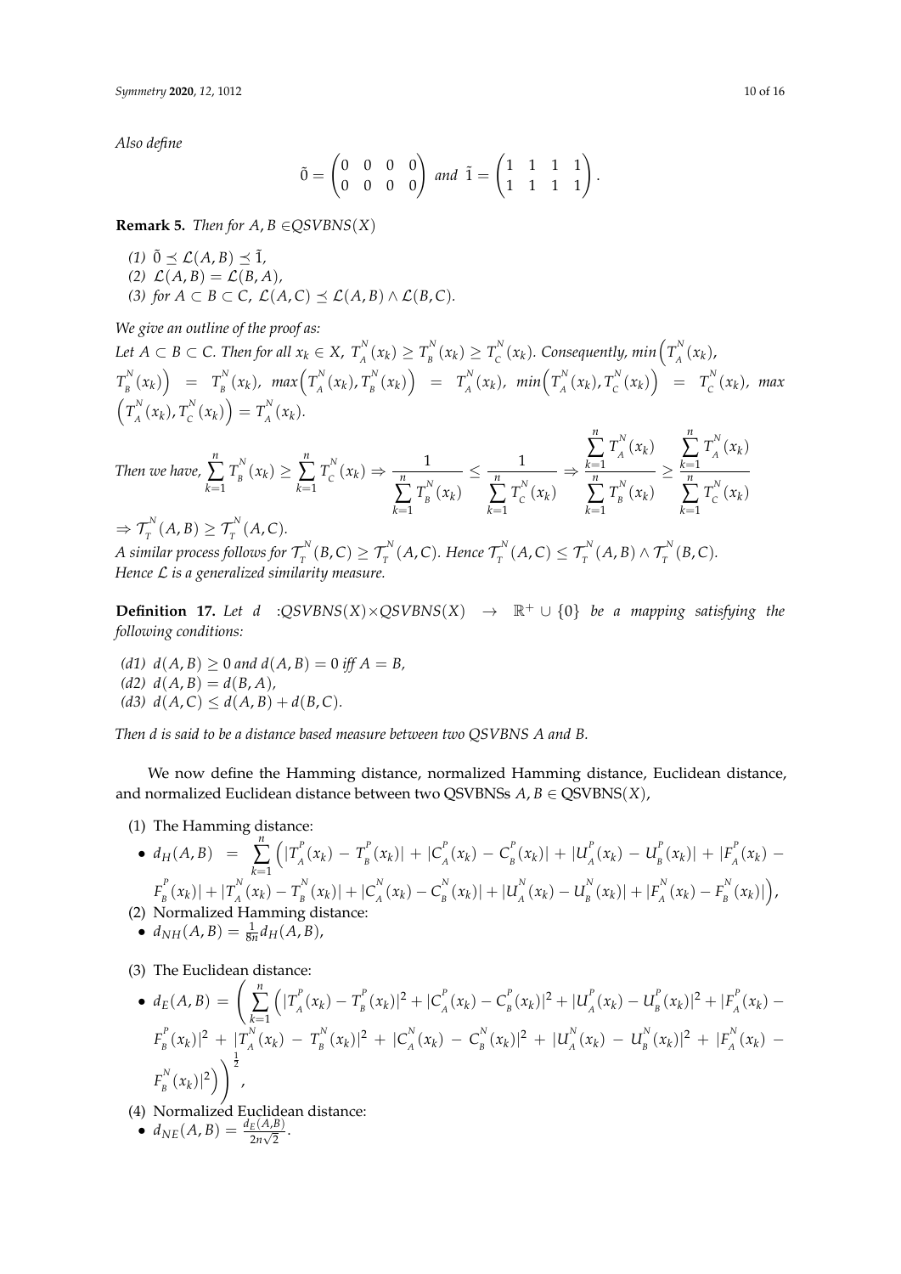*Also define*

$$
\tilde{0} = \begin{pmatrix} 0 & 0 & 0 & 0 \\ 0 & 0 & 0 & 0 \end{pmatrix} \text{ and } \tilde{1} = \begin{pmatrix} 1 & 1 & 1 & 1 \\ 1 & 1 & 1 & 1 \end{pmatrix}.
$$

**Remark 5.** *Then for A, B*  $\in$  *QSVBNS*(*X*)

 $(1)$   $\tilde{0} \prec \mathcal{L}(A, B) \prec \tilde{1}$ ,  $\mathcal{L}(A, B) = \mathcal{L}(B, A)$ (3) for  $A \subset B \subset C$ ,  $\mathcal{L}(A, C) \preceq \mathcal{L}(A, B) \wedge \mathcal{L}(B, C)$ .

*We give an outline of the proof as:*

 $Let\ A\subset B\subset C.$  Then for all  $x_k\in X$ ,  $T^{\mathbb{N}}_A$  $T_A^N(x_k) \ge T_B^N$  $T_B^N(x_k) \ge T_C^N$  $C_{C}^{N}(x_{k})$ . Consequently, min $\left(T_{A}^{N}\right)$  $\int_{A}^{N}(x_{k})$  $T_{_R}^N$  $\left(\frac{N}{B}(x_k)\right) = T_B^N$  $\int_B^N(x_k)$ , max $\left(T_A^N\right)$  $T_A^N(x_k)$ ,  $T_B^N$  $T_A^N(x_k)$  =  $T_A^N$  $\int_A^N(x_k)$ ,  $min\left(T_A^N\right)$  $T_A^N(x_k)$ ,  $T_C^N$  $T_c^N(x_k)$  =  $T_c^N$  $\int_{C}^{N}(x_k)$ , max  $(T^N_{\scriptscriptstyle A}$  $T_A^N(x_k)$ ,  $T_C^N$  $\binom{N}{C}(x_k) = T_A^N$  $\int_{A}^{N}(x_{k}).$ *n*

$$
\begin{aligned}\n\text{Then we have, } \sum_{k=1}^{n} T_{B}^{N}(x_{k}) &\geq \sum_{k=1}^{n} T_{C}^{N}(x_{k}) \Rightarrow \frac{1}{\sum_{k=1}^{n} T_{B}^{N}(x_{k})} \leq \frac{1}{\sum_{k=1}^{n} T_{C}^{N}(x_{k})} \Rightarrow \frac{\sum_{k=1}^{n} T_{A}^{N}(x_{k})}{\sum_{k=1}^{n} T_{C}^{N}(x_{k})} &\geq \frac{\sum_{k=1}^{n} T_{A}^{N}(x_{k})}{\sum_{k=1}^{n} T_{C}^{N}(x_{k})} \\
&\Rightarrow \mathcal{T}_{T}^{N}(A, B) \geq \mathcal{T}_{T}^{N}(A, C).\n\end{aligned}
$$

*A* similar process follows for  $\tau_{\tau}^{N}$  $T^{N}_{T}(B, C) \geq \mathcal{T}^{N}_{T}(A, C)$ . Hence  $\mathcal{T}^{N}_{T}$  $\mathcal{T}_T^N(A, C) \leq \mathcal{T}_T^N(A, B) \wedge \mathcal{T}_T^N(B, C).$ *Hence* L *is a generalized similarity measure.*

**Definition 17.** Let *d* : $QSVBNS(X) \times QSVBNS(X) \rightarrow \mathbb{R}^+ \cup \{0\}$  be a mapping satisfying the *following conditions:*

*(d1)*  $d(A, B) \ge 0$  *and*  $d(A, B) = 0$  *iff*  $A = B$ ,  $(d2)$   $d(A, B) = d(B, A)$ , *(d3)*  $d(A, C) \leq d(A, B) + d(B, C)$ .

*Then d is said to be a distance based measure between two QSVBNS A and B.*

We now define the Hamming distance, normalized Hamming distance, Euclidean distance, and normalized Euclidean distance between two QSVBNSs  $A, B \in \text{QSVBNS}(X)$ ,

(1) The Hamming distance:

• 
$$
d_H(A, B) = \sum_{k=1}^{n} (|T_A^P(x_k) - T_B^P(x_k)| + |C_A^P(x_k) - C_B^P(x_k)| + |U_A^P(x_k) - U_B^P(x_k)| + |F_A^P(x_k) - F_B^P(x_k)| + |T_A^N(x_k) - T_B^N(x_k)| + |C_A^N(x_k) - C_B^N(x_k)| + |U_A^N(x_k) - U_B^N(x_k)| + |F_A^N(x_k) - F_B^N(x_k)|),
$$

- (2) Normalized Hamming distance:
- $d_{NH}(A, B) = \frac{1}{8n} d_H(A, B)$ ,
- (3) The Euclidean distance:

• 
$$
d_E(A, B) = \left(\sum_{k=1}^n (|T_A^p(x_k) - T_B^p(x_k)|^2 + |C_A^p(x_k) - C_B^p(x_k)|^2 + |U_A^p(x_k) - U_B^p(x_k)|^2 + |F_A^p(x_k) - F_B^p(x_k)|^2 + |T_A^N(x_k) - T_B^N(x_k)|^2 + |C_A^N(x_k) - C_B^N(x_k)|^2 + |U_A^N(x_k) - U_B^N(x_k)|^2 + |F_A^N(x_k) - F_B^N(x_k)|^2\right)
$$
  
\n
$$
F_B^N(x_k)|^2\right)^{\frac{1}{2}},
$$

- (4) Normalized Euclidean distance:
- $d_{NE}(A, B) = \frac{d_E(A, B)}{2n\sqrt{2}}.$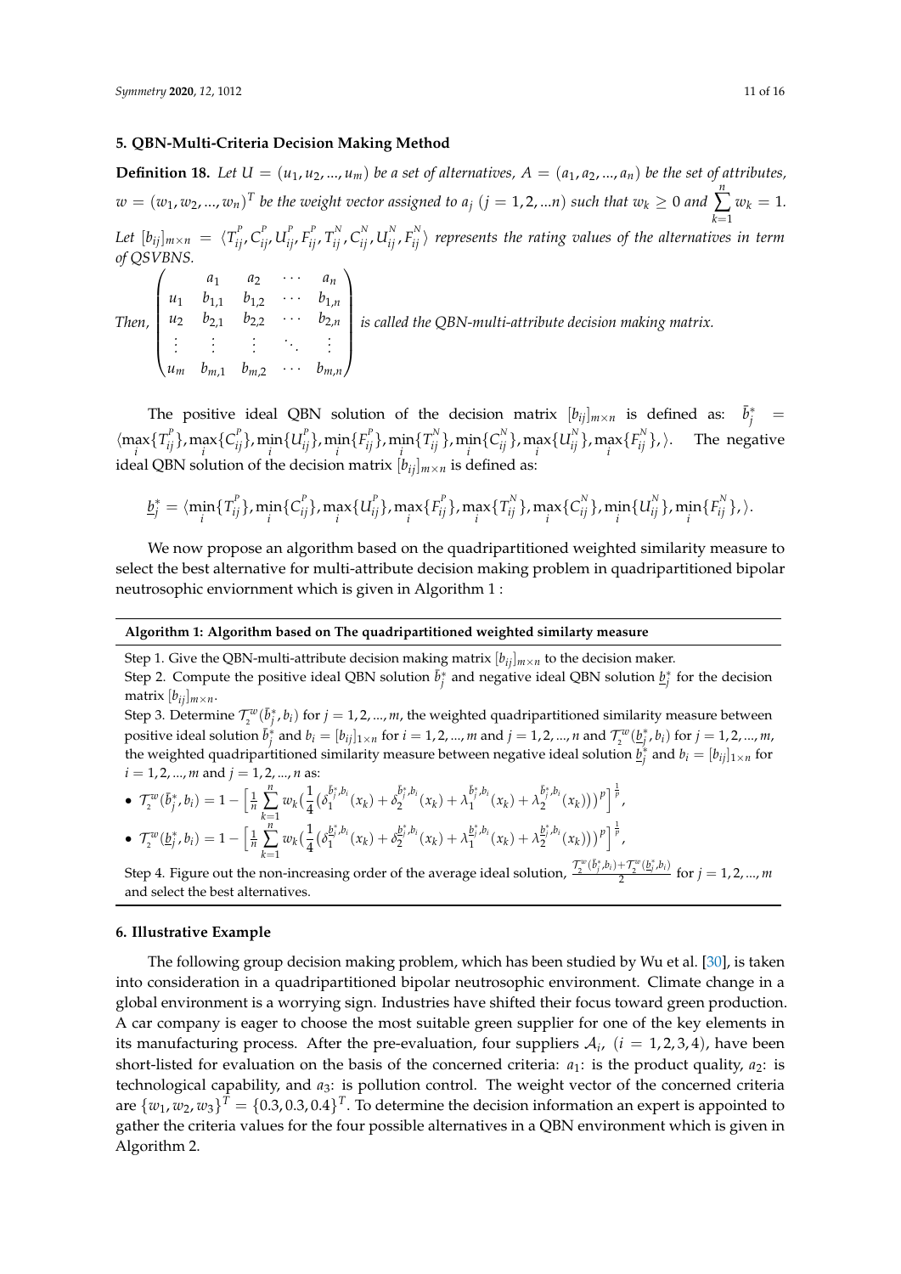#### <span id="page-11-0"></span>**5. QBN-Multi-Criteria Decision Making Method**

**Definition 18.** Let  $U = (u_1, u_2, ..., u_m)$  be a set of alternatives,  $A = (a_1, a_2, ..., a_n)$  be the set of attributes,  $w = (w_1, w_2, ..., w_n)^T$  be the weight vector assigned to  $a_j$   $(j = 1, 2, ...n)$  such that  $w_k \geq 0$  and *n* ∑ *k*=1  $w_k = 1$ . Let  $[b_{ij}]_{m\times n} = \langle T^P_{ij},C^P_{ij},U^P_{ij},F^P_{ij},T^N_{ij},C^N_{ij},U^N_{ij},F^N_{ij}\rangle$  represents the rating values of the alternatives in term *of QSVBNS.*  $\begin{pmatrix} a_1 & a_2 & \cdots & a_n \end{pmatrix}$  $\setminus$ 

*Then,*  $\overline{\phantom{a}}$  $u_1$   $b_{1,1}$   $b_{1,2}$   $\cdots$   $b_{1,n}$ *u*<sup>2</sup> *b*2,1 *b*2,2 · · · *b*2,*<sup>n</sup> . . . . . . . . . . . . . . .*  $u_m$   $b_{m,1}$   $b_{m,2}$   $\cdots$   $b_{m,n}$  $\begin{array}{c} \hline \end{array}$ *is called the QBN-multi-attribute decision making matrix.*

The positive ideal QBN solution of the decision matrix  $[b_{ij}]_{m \times n}$  is defined as:  $\bar{b}^*_{j}$  =  $\langle \max_i \{T_{ij}^p\}, \max_i \{C_{ij}^p\}, \min_i \{U_{ij}^p\}, \min_i \{F_{ij}^p\}, \min_i \{T_{ij}^N\}, \min_i \{C_{ij}^N\}, \max_i \{U_{ij}^N\}, \max_i \{F_{ij}^N\}, \rangle$ . The negative ideal QBN solution of the decision matrix  $[b_{ij}]_{m \times n}$  is defined as:

$$
\underline{b}_{j}^{*} = \langle \min_{i} \{T_{ij}^{P}\}, \min_{i} \{C_{ij}^{P}\}, \max_{i} \{U_{ij}^{P}\}, \max_{i} \{F_{ij}^{P}\}, \max_{i} \{T_{ij}^{N}\}, \max_{i} \{C_{ij}^{N}\}, \min_{i} \{U_{ij}^{N}\}, \min_{i} \{F_{ij}^{N}\}, \rangle.
$$

We now propose an algorithm based on the quadripartitioned weighted similarity measure to select the best alternative for multi-attribute decision making problem in quadripartitioned bipolar neutrosophic enviornment which is given in Algorithm 1 :

#### **Algorithm 1: Algorithm based on The quadripartitioned weighted similarty measure**

Step 1. Give the QBN-multi-attribute decision making matrix  $[b_{ij}]_{m \times n}$  to the decision maker.

Step 2. Compute the positive ideal QBN solution  $\bar{b}^*_j$  and negative ideal QBN solution  $\underline{b}^*_j$  for the decision matrix  $[b_{ij}]_{m \times n}$ .

Step 3. Determine  $\mathcal{T}^w_2(\bar{b}^*_j, b_i)$  for  $j = 1, 2, ..., m$ , the weighted quadripartitioned similarity measure between positive ideal solution  $\bar{b}_j^*$  and  $b_i=[b_{ij}]_{1\times n}$  for  $i=1,2,...,m$  and  $j=1,2,...,n$  and  $\mathcal{T}_2^w(\underline{b}_j^*,b_i)$  for  $j=1,2,...,m$ , the weighted quadripartitioned similarity measure between negative ideal solution  $\underline{b}^*_j$  and  $b_i = [b_{ij}]_{1 \times n}$  for  $i = 1, 2, ..., m$  and  $j = 1, 2, ..., n$  as:

• 
$$
\mathcal{T}_2^w(\bar{b}_j^*, b_i) = 1 - \left[\frac{1}{n} \sum_{k=1}^n w_k \left(\frac{1}{4} (\delta_1^{\bar{b}_j^*, b_i}(x_k) + \delta_2^{\bar{b}_j^*, b_i}(x_k) + \lambda_1^{\bar{b}_j^*, b_i}(x_k) + \lambda_2^{\bar{b}_j^*, b_i}(x_k))\right)^p\right]^{\frac{1}{p}},
$$
  
\n• 
$$
\mathcal{T}_2^w(b_1^*, b_1) = 1 - \left[\frac{1}{2} \sum_{k=1}^n w_k \left(\frac{1}{4} (\delta_2^{\bar{b}_j^*, b_i}(x_k) + \delta_2^{\bar{b}_j^*, b_i}(x_k) + \lambda_2^{\bar{b}_j^*, b_i}(x_k) + \lambda_2^{\bar{b}_j^*, b_i}(x_k))\right)^p\right]^{\frac{1}{p}}.
$$

$$
\bullet\;\; \mathcal{T}^{w}_{2}(\underline{b}^{*}_{j},b_{i})=1-\Big[\tfrac{1}{n}\sum_{k=1}^{n}w_{k}\big(\tfrac{1}{4}(\delta_{1}^{\underline{b}^{*}_{j},b_{i}}(x_{k})+\delta_{2}^{\underline{b}^{*}_{j},b_{i}}(x_{k})+\lambda_{1}^{\underline{b}^{*}_{j},b_{i}}(x_{k})+\lambda_{2}^{\underline{b}^{*}_{j},b_{i}}(x_{k})\big)\big)^{p}\Big]^{\frac{1}{p}},\\\nonumber\\ \mathcal{T}^{w}(\overline{b}^{*}_{i},b_{i})+\mathcal{T}^{w}(b^{*}_{i},b_{i})\\
$$

Step 4. Figure out the non-increasing order of the average ideal solution,  $\frac{\mathcal{T}_{2}^{w}(\tilde{b}_{j}^{*},b_{i})+\mathcal{T}_{2}^{w}(b_{j}^{*},b_{i})}{2}$  $\frac{1}{2}$   $\frac{1}{2}$   $\frac{1}{2}$  for  $j = 1, 2, ..., m$ and select the best alternatives.

#### <span id="page-11-1"></span>**6. Illustrative Example**

The following group decision making problem, which has been studied by Wu et al. [\[30\]](#page-16-14), is taken into consideration in a quadripartitioned bipolar neutrosophic environment. Climate change in a global environment is a worrying sign. Industries have shifted their focus toward green production. A car company is eager to choose the most suitable green supplier for one of the key elements in its manufacturing process. After the pre-evaluation, four suppliers  $A_i$ ,  $(i = 1, 2, 3, 4)$ , have been short-listed for evaluation on the basis of the concerned criteria:  $a_1$ : is the product quality,  $a_2$ : is technological capability, and *a*3: is pollution control. The weight vector of the concerned criteria are  $\{w_1, w_2, w_3\}^T = \{0.3, 0.3, 0.4\}^T$ . To determine the decision information an expert is appointed to gather the criteria values for the four possible alternatives in a QBN environment which is given in Algorithm 2.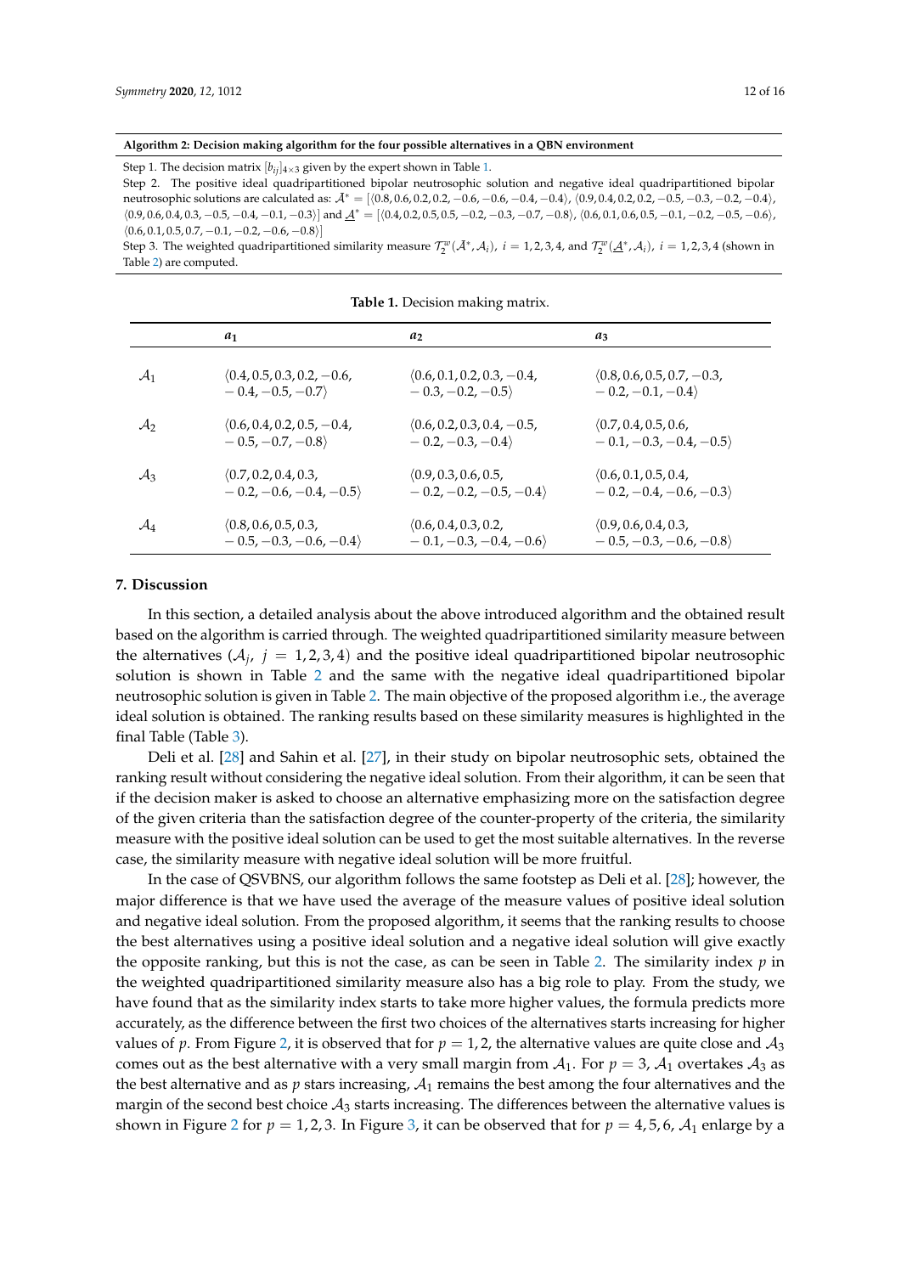#### **Algorithm 2: Decision making algorithm for the four possible alternatives in a QBN environment**

Step [1.](#page-12-1) The decision matrix  $[b_{ij}]_{4\times3}$  given by the expert shown in Table 1.

Step 2. The positive ideal quadripartitioned bipolar neutrosophic solution and negative ideal quadripartitioned bipolar neutrosophic solutions are calculated as:  $\mathcal{A}^* = \{(0.8, 0.6, 0.2, 0.2, -0.6, -0.6, -0.4, -0.4\}, (0.9, 0.4, 0.2, 0.2, -0.5, -0.3, -0.2, -0.4), (0.9, 0.4, 0.2, 0.2, -0.5, -0.3, -0.2, -0.4)\}$  $\langle 0.9, 0.6, 0.4, 0.3, -0.5, -0.4, -0.1, -0.3 \rangle$ ] and  $\underline{A}^* = [\langle 0.4, 0.2, 0.5, 0.5, -0.2, -0.3, -0.7, -0.8 \rangle, \langle 0.6, 0.1, 0.6, 0.5, -0.1, -0.2, -0.5, -0.6 \rangle,$  $(0.6, 0.1, 0.5, 0.7, -0.1, -0.2, -0.6, -0.8)$ 

Step 3. The weighted quadripartitioned similarity measure  $\mathcal{T}_2^w(\bar{\mathcal{A}}^*, \mathcal{A}_i)$ ,  $i = 1, 2, 3, 4$ , and  $\mathcal{T}_2^w(\underline{\mathcal{A}}^*, \mathcal{A}_i)$ ,  $i = 1, 2, 3, 4$  (shown in Table [2\)](#page-13-0) are computed.

<span id="page-12-1"></span>

|                 | $a_1$                        | a <sub>2</sub>               | $a_3$                        |
|-----------------|------------------------------|------------------------------|------------------------------|
|                 |                              |                              |                              |
| $\mathcal{A}_1$ | $(0.4, 0.5, 0.3, 0.2, -0.6,$ | $(0.6, 0.1, 0.2, 0.3, -0.4,$ | $(0.8, 0.6, 0.5, 0.7, -0.3,$ |
|                 | $-0.4, -0.5, -0.7$           | $-0.3, -0.2, -0.5$           | $-0.2, -0.1, -0.4$           |
| $\mathcal{A}_2$ | $(0.6, 0.4, 0.2, 0.5, -0.4,$ | $(0.6, 0.2, 0.3, 0.4, -0.5,$ | (0.7, 0.4, 0.5, 0.6,         |
|                 | $-0.5, -0.7, -0.8$           | $-0.2, -0.3, -0.4$           | $-0.1, -0.3, -0.4, -0.5$     |
| $\mathcal{A}_3$ | (0.7, 0.2, 0.4, 0.3,         | (0.9, 0.3, 0.6, 0.5,         | (0.6, 0.1, 0.5, 0.4,         |
|                 | $-0.2, -0.6, -0.4, -0.5$     | $-0.2, -0.2, -0.5, -0.4$     | $-0.2, -0.4, -0.6, -0.3$     |
| $\mathcal{A}_4$ | (0.8, 0.6, 0.5, 0.3,         | (0.6, 0.4, 0.3, 0.2,         | (0.9, 0.6, 0.4, 0.3,         |
|                 | $-0.5, -0.3, -0.6, -0.4$     | $-0.1, -0.3, -0.4, -0.6$     | $-0.5, -0.3, -0.6, -0.8$     |

**Table 1.** Decision making matrix.

#### <span id="page-12-0"></span>**7. Discussion**

In this section, a detailed analysis about the above introduced algorithm and the obtained result based on the algorithm is carried through. The weighted quadripartitioned similarity measure between the alternatives  $(A_j, j = 1, 2, 3, 4)$  and the positive ideal quadripartitioned bipolar neutrosophic solution is shown in Table [2](#page-13-0) and the same with the negative ideal quadripartitioned bipolar neutrosophic solution is given in Table [2.](#page-13-0) The main objective of the proposed algorithm i.e., the average ideal solution is obtained. The ranking results based on these similarity measures is highlighted in the final Table (Table [3\)](#page-15-10).

Deli et al. [\[28\]](#page-16-12) and Sahin et al. [\[27\]](#page-16-11), in their study on bipolar neutrosophic sets, obtained the ranking result without considering the negative ideal solution. From their algorithm, it can be seen that if the decision maker is asked to choose an alternative emphasizing more on the satisfaction degree of the given criteria than the satisfaction degree of the counter-property of the criteria, the similarity measure with the positive ideal solution can be used to get the most suitable alternatives. In the reverse case, the similarity measure with negative ideal solution will be more fruitful.

In the case of QSVBNS, our algorithm follows the same footstep as Deli et al. [\[28\]](#page-16-12); however, the major difference is that we have used the average of the measure values of positive ideal solution and negative ideal solution. From the proposed algorithm, it seems that the ranking results to choose the best alternatives using a positive ideal solution and a negative ideal solution will give exactly the opposite ranking, but this is not the case, as can be seen in Table [2.](#page-13-0) The similarity index *p* in the weighted quadripartitioned similarity measure also has a big role to play. From the study, we have found that as the similarity index starts to take more higher values, the formula predicts more accurately, as the difference between the first two choices of the alternatives starts increasing for higher values of p. From Figure [2,](#page-13-1) it is observed that for  $p = 1, 2$ , the alternative values are quite close and  $A_3$ comes out as the best alternative with a very small margin from  $A_1$ . For  $p = 3$ ,  $A_1$  overtakes  $A_3$  as the best alternative and as  $p$  stars increasing,  $A_1$  remains the best among the four alternatives and the margin of the second best choice  $A_3$  starts increasing. The differences between the alternative values is shown in Figure [2](#page-13-1) for  $p = 1, 2, 3$ . In Figure [3,](#page-14-0) it can be observed that for  $p = 4, 5, 6, \mathcal{A}_1$  enlarge by a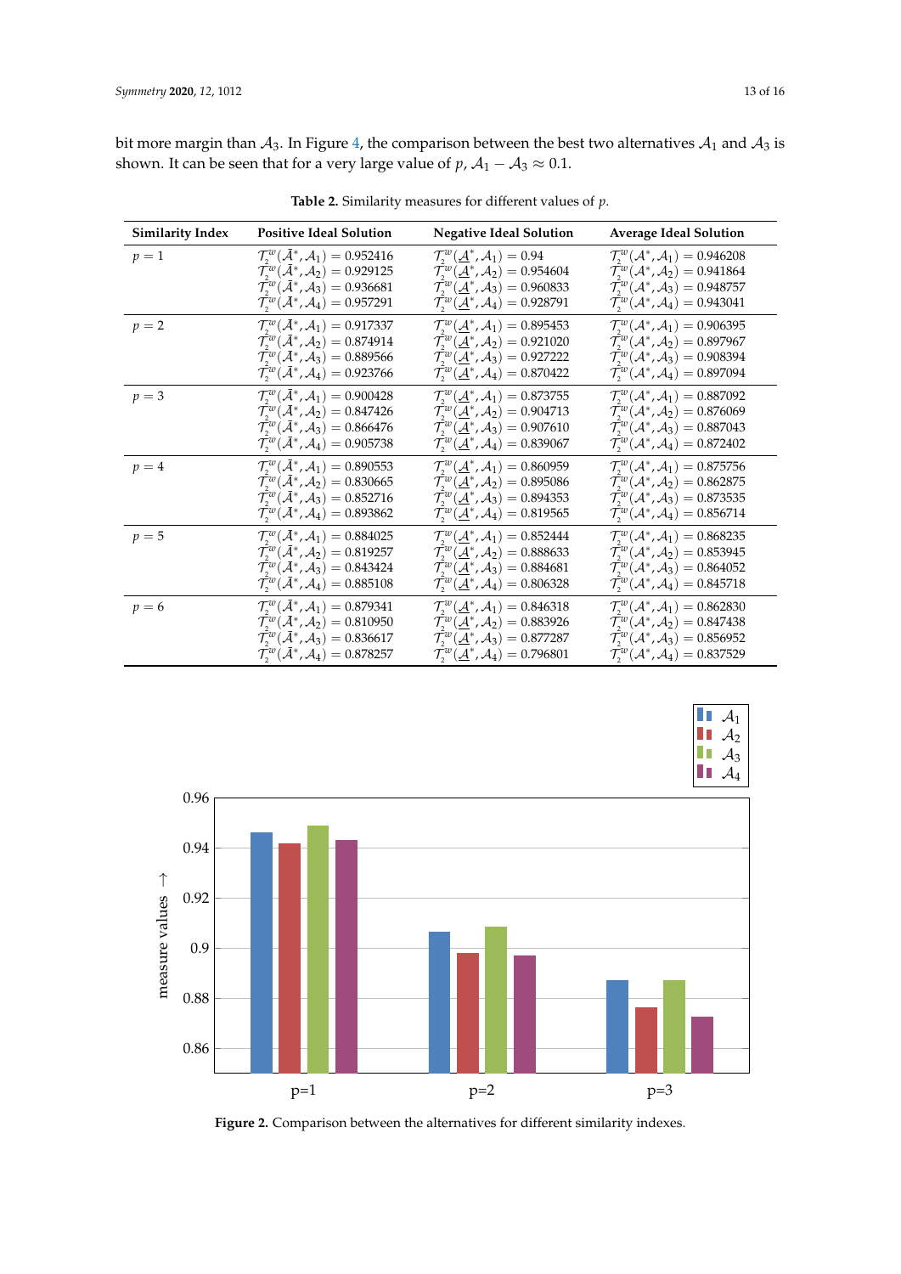bit more margin than  $A_3$ . In Figure [4,](#page-14-1) the comparison between the best two alternatives  $A_1$  and  $A_3$  is shown. It can be seen that for a very large value of  $p$ ,  $A_1 - A_3 \approx 0.1$ .

<span id="page-13-0"></span>

| <b>Similarity Index</b> | <b>Positive Ideal Solution</b>                                           | <b>Negative Ideal Solution</b>                                                 | <b>Average Ideal Solution</b>                                      |
|-------------------------|--------------------------------------------------------------------------|--------------------------------------------------------------------------------|--------------------------------------------------------------------|
| $p=1$                   | $\mathcal{T}_{2}^{w}(\mathcal{A}^*, \mathcal{A}_1) = 0.952416$           | $\mathcal{T}_{2}^{w}(\underline{\mathcal{A}}^{*},\mathcal{A}_{1})=0.94$        | $\mathcal{T}_{2}^{w}(\mathcal{A}^*, \mathcal{A}_1) = 0.946208$     |
|                         | $\mathcal{T}_{2}^{w}(\mathcal{A}^*, \mathcal{A}_2) = 0.929125$           | $\mathcal{T}_{2}^{w}(\underline{\mathcal{A}}^{*},\mathcal{A}_{2})=0.954604$    | $\mathcal{T}_{2}^{w}(\mathcal{A}^*, \mathcal{A}_2) = 0.941864$     |
|                         | $\mathcal{T}_{2}^{w}(\mathcal{A}^*, \mathcal{A}_3) = 0.936681$           | $\mathcal{T}_{2}^{w}(\underline{\mathcal{A}}^{*},\mathcal{A}_{3})=0.960833$    | $\mathcal{T}_{2}^{w}(\mathcal{A}^*, \mathcal{A}_3) = 0.948757$     |
|                         | $\mathcal{T}_{2}^{w}(\mathcal{A}^*, \mathcal{A}_4) = 0.957291$           | $\mathcal{T}_{2}^{w}(\underline{\mathcal{A}}^{*},\mathcal{A}_{4})=0.928791$    | $\mathcal{T}_{2}^{w}(\mathcal{A}^*, \mathcal{A}_4) = 0.943041$     |
| $p=2$                   | $\mathcal{T}_{2}^{w}(\mathcal{A}^*, \mathcal{A}_1) = 0.917337$           | $\mathcal{T}^{w}_{2}(\underline{\mathcal{A}}^{*},\mathcal{A}_{1})=0.895453$    | $\mathcal{T}_{2}^{w}(\mathcal{A}^*, \mathcal{A}_1) = 0.906395$     |
|                         | $\mathcal{T}_{2}^{w}(\bar{\mathcal{A}}^{*}, \mathcal{A}_{2}) = 0.874914$ | $\mathcal{T}^{w}_{2}(\underline{\mathcal{A}}^{*},\mathcal{A}_{2})=0.921020$    | $\mathcal{T}_{2}^{w}(\mathcal{A}^*, \mathcal{A}_2) = 0.897967$     |
|                         | $\mathcal{T}_{2}^{w}(\bar{\mathcal{A}}^{*},\mathcal{A}_{3})=0.889566$    | $\mathcal{T}_{2}^{w}(\underline{\mathcal{A}}^{*},\mathcal{A}_{3})=0.927222$    | $\mathcal{T}_{2}^{w}(\mathcal{A}^*, \mathcal{A}_3) = 0.908394$     |
|                         | $\mathcal{T}_{2}^{w}(\mathcal{A}^*, \mathcal{A}_4) = 0.923766$           | $\mathcal{T}_{2}^{w}(\underline{\mathcal{A}}^{*},\mathcal{A}_{4})=0.870422$    | $\mathcal{T}_{2}^{w}(\mathcal{A}^{*}, \mathcal{A}_{4}) = 0.897094$ |
| $p = 3$                 | $\mathcal{T}_{2}^{w}(\bar{\mathcal{A}}^{*}, \mathcal{A}_{1}) = 0.900428$ | $\mathcal{T}_{2}^{w}(\underline{\mathcal{A}}^{*},\mathcal{A}_{1})=0.873755$    | $\mathcal{T}_{2}^{w}(\mathcal{A}^*, \mathcal{A}_1) = 0.887092$     |
|                         | $\mathcal{T}_{2}^{w}(\mathcal{A}^*, \mathcal{A}_2) = 0.847426$           | $\mathcal{T}_{2}^{w}(\underline{\mathcal{A}}^{*},\mathcal{A}_{2})=0.904713$    | $\mathcal{T}_{2}^{w}(\mathcal{A}^{*}, \mathcal{A}_{2}) = 0.876069$ |
|                         | $\mathcal{T}_{2}^{w}(\mathcal{A}^*, \mathcal{A}_3) = 0.866476$           | $\mathcal{T}^{w}_{1}(\underline{\mathcal{A}}^{*},\mathcal{A}_{3})=0.907610$    | $\mathcal{T}_{2}^{w}(\mathcal{A}^*, \mathcal{A}_3) = 0.887043$     |
|                         | $\mathcal{T}_{2}^{w}(\mathcal{A}^*, \mathcal{A}_4) = 0.905738$           | $\mathcal{T}^w_2(\underline{\mathcal{A}}^*,\mathcal{A}_4)=0.839067$            | $\mathcal{T}_{2}^{w}(\mathcal{A}^{*}, \mathcal{A}_{4})=0.872402$   |
| $p = 4$                 | $\mathcal{T}_{2}^{w}(\bar{\mathcal{A}}^{*}, \mathcal{A}_{1}) = 0.890553$ | $\mathcal{T}_{2}^{w}(\underline{\mathcal{A}}^{*},\mathcal{A}_{1})=0.860959$    | $\mathcal{T}_{2}^{w}(\mathcal{A}^*, \mathcal{A}_1) = 0.875756$     |
|                         | $\mathcal{T}_{2}^{w}(\mathcal{A}^*, \mathcal{A}_2) = 0.830665$           | $\mathcal{T}^w_3(\underline{\mathcal{A}}^*, \mathcal{A}_2) = 0.895086$         | $\mathcal{T}_{2}^{w}(\mathcal{A}^*, \mathcal{A}_2) = 0.862875$     |
|                         | $\mathcal{T}_{2}^{w}(\mathcal{A}^*, \mathcal{A}_3) = 0.852716$           | $\mathcal{T}^{w}_{2}(\underline{\mathcal{A}}^{*},\mathcal{A}_{3})=0.894353$    | $\mathcal{T}_{2}^{w}(\mathcal{A}^*, \mathcal{A}_3) = 0.873535$     |
|                         | $\mathcal{T}_{2}^{w}(\bar{\mathcal{A}}^{*}, \mathcal{A}_{4}) = 0.893862$ | $\mathcal{T}_{2}^{w}(\underline{\mathcal{A}}^{*},\mathcal{A}_{4})=0.819565$    | $\mathcal{T}_{2}^{w}(\mathcal{A}^{*}, \mathcal{A}_{4}) = 0.856714$ |
| $p = 5$                 | $\mathcal{T}_{2}^{w}(\mathcal{A}^*, \mathcal{A}_1) = 0.884025$           | $\mathcal{T}_{2}^{w}(\underline{\mathcal{A}}^{*},\mathcal{A}_{1})=0.852444$    | $\mathcal{T}_{2}^{w}(\mathcal{A}^*, \mathcal{A}_1) = 0.868235$     |
|                         | $\mathcal{T}_{2}^{w}(\mathcal{A}^*, \mathcal{A}_2) = 0.819257$           | $\mathcal{T}_{2}^{w}(\underline{\mathcal{A}}^{*}, \mathcal{A}_{2}) = 0.888633$ | $\mathcal{T}_{2}^{w}(\mathcal{A}^*, \mathcal{A}_2) = 0.853945$     |
|                         | $\mathcal{T}_{2}^{w}(\mathcal{A}^*, \mathcal{A}_3) = 0.843424$           | $\mathcal{T}^w_2(\underline{\mathcal{A}}^*,\mathcal{A}_3)=0.884681$            | $\mathcal{T}_{2}^{w}(\mathcal{A}^*, \mathcal{A}_3) = 0.864052$     |
|                         | $\mathcal{T}_{2}^{w}(\bar{\mathcal{A}}^{*}, \mathcal{A}_{4}) = 0.885108$ | $\mathcal{T}_{2}^{w}(\underline{\mathcal{A}}^{*},\mathcal{A}_{4})=0.806328$    | $\mathcal{T}_{2}^{w}(\mathcal{A}^*, \mathcal{A}_4) = 0.845718$     |
| $p=6$                   | $\mathcal{T}_{2}^{w}(\mathcal{A}^*, \mathcal{A}_1) = 0.879341$           | $\mathcal{T}_{2}^{w}(\underline{\mathcal{A}}^{*},\mathcal{A}_{1})=0.846318$    | $\mathcal{T}_{2}^{w}(\mathcal{A}^*, \mathcal{A}_1) = 0.862830$     |
|                         | $\mathcal{T}_{2}^{w}(\bar{\mathcal{A}}^{*}, \mathcal{A}_{2}) = 0.810950$ | $\mathcal{T}_{2}^{w}(\underline{\mathcal{A}}^{*},\mathcal{A}_{2})=0.883926$    | $\mathcal{T}_{2}^{w}(\mathcal{A}^{*}, \mathcal{A}_{2}) = 0.847438$ |
|                         | $\mathcal{T}_{2}^{w}(\bar{\mathcal{A}}^{*}, \mathcal{A}_{3}) = 0.836617$ | $\mathcal{T}_{2}^{w}(\mathcal{A}^{*}, \mathcal{A}_{3}) = 0.877287$             | $\mathcal{T}_{2}^{w}(\mathcal{A}^*, \mathcal{A}_3) = 0.856952$     |
|                         | $\mathcal{T}_{2}^{w}(\mathcal{A}^{*}, \mathcal{A}_{4}) = 0.878257$       | $\mathcal{T}_{2}^{w}(\underline{\mathcal{A}}^{*},\mathcal{A}_{4})=0.796801$    | $\mathcal{T}_{2}^{w}(\mathcal{A}^{*}, \mathcal{A}_{4}) = 0.837529$ |

**Table 2.** Similarity measures for different values of *p*.

<span id="page-13-1"></span>

**Figure 2.** Comparison between the alternatives for different similarity indexes.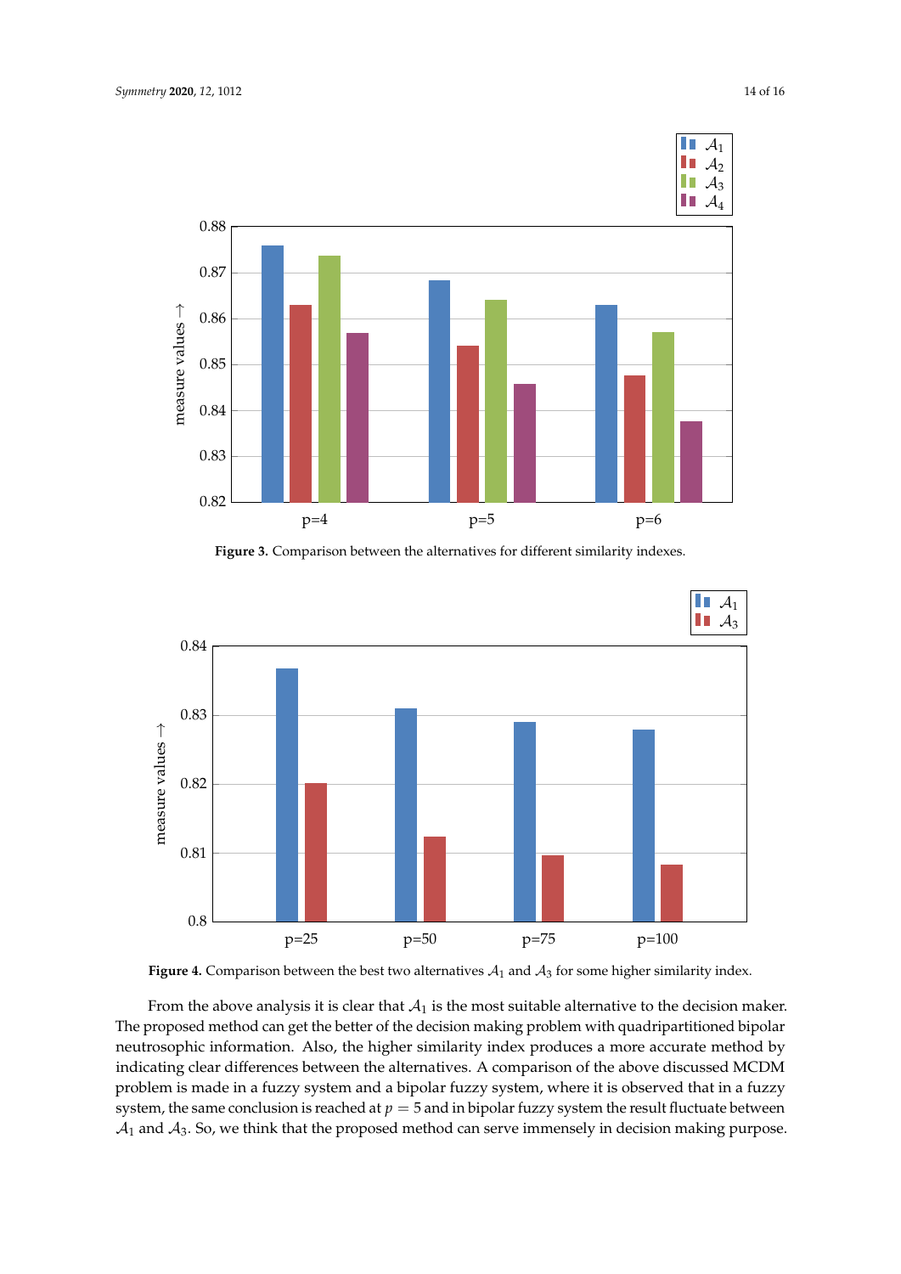<span id="page-14-0"></span>

**Figure 3.** Comparison between the alternatives for different similarity indexes.

<span id="page-14-1"></span>

**Figure 4.** Comparison between the best two alternatives  $A_1$  and  $A_3$  for some higher similarity index.

From the above analysis it is clear that  $A_1$  is the most suitable alternative to the decision maker. The proposed method can get the better of the decision making problem with quadripartitioned bipolar neutrosophic information. Also, the higher similarity index produces a more accurate method by indicating clear differences between the alternatives. A comparison of the above discussed MCDM problem is made in a fuzzy system and a bipolar fuzzy system, where it is observed that in a fuzzy system, the same conclusion is reached at  $p = 5$  and in bipolar fuzzy system the result fluctuate between  $A_1$  and  $A_3$ . So, we think that the proposed method can serve immensely in decision making purpose.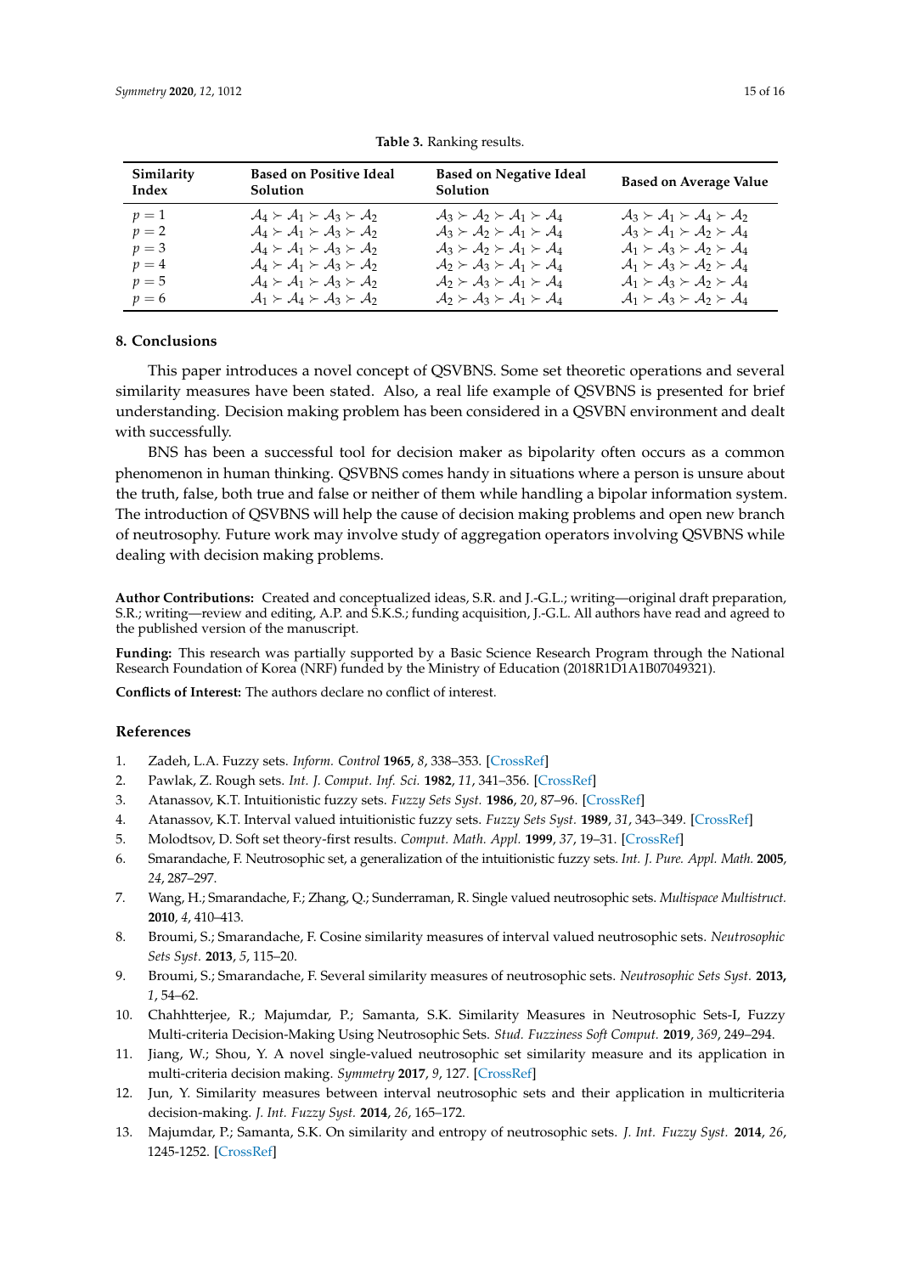<span id="page-15-10"></span>

| Similarity<br>Index | <b>Based on Positive Ideal</b><br><b>Solution</b>                           | <b>Based on Negative Ideal</b><br><b>Solution</b>                           | <b>Based on Average Value</b>                                               |
|---------------------|-----------------------------------------------------------------------------|-----------------------------------------------------------------------------|-----------------------------------------------------------------------------|
| $p=1$               | $A_4 \succ A_1 \succ A_3 \succ A_2$                                         | $A_3 \succ A_2 \succ A_1 \succ A_4$                                         | $A_3 \succ A_1 \succ A_4 \succ A_2$                                         |
| $p=2$               | $\mathcal{A}_4 \succ \mathcal{A}_1 \succ \mathcal{A}_3 \succ \mathcal{A}_2$ | $A_3 \succ A_2 \succ A_1 \succ A_4$                                         | $A_3 \succ A_1 \succ A_2 \succ A_4$                                         |
| $p=3$               | $\mathcal{A}_4 \succ \mathcal{A}_1 \succ \mathcal{A}_3 \succ \mathcal{A}_2$ | $\mathcal{A}_3 \succ \mathcal{A}_2 \succ \mathcal{A}_1 \succ \mathcal{A}_4$ | $A_1 \succ A_3 \succ A_2 \succ A_4$                                         |
| $p=4$               | $\mathcal{A}_4 \succ \mathcal{A}_1 \succ \mathcal{A}_3 \succ \mathcal{A}_2$ | $A_2 \succ A_3 \succ A_1 \succ A_4$                                         | $A_1 \succ A_3 \succ A_2 \succ A_4$                                         |
| $p=5$               | $\mathcal{A}_4 \succ \mathcal{A}_1 \succ \mathcal{A}_3 \succ \mathcal{A}_2$ | $A_2 \succ A_3 \succ A_1 \succ A_4$                                         | $A_1 \succ A_3 \succ A_2 \succ A_4$                                         |
| $p=6$               | $A_1 \succ A_4 \succ A_3 \succ A_2$                                         | $A_2 \succ A_3 \succ A_1 \succ A_4$                                         | $\mathcal{A}_1 \succ \mathcal{A}_3 \succ \mathcal{A}_2 \succ \mathcal{A}_4$ |

|  | Table 3. Ranking results. |  |
|--|---------------------------|--|
|--|---------------------------|--|

# <span id="page-15-9"></span>**8. Conclusions**

This paper introduces a novel concept of QSVBNS. Some set theoretic operations and several similarity measures have been stated. Also, a real life example of QSVBNS is presented for brief understanding. Decision making problem has been considered in a QSVBN environment and dealt with successfully.

BNS has been a successful tool for decision maker as bipolarity often occurs as a common phenomenon in human thinking. QSVBNS comes handy in situations where a person is unsure about the truth, false, both true and false or neither of them while handling a bipolar information system. The introduction of QSVBNS will help the cause of decision making problems and open new branch of neutrosophy. Future work may involve study of aggregation operators involving QSVBNS while dealing with decision making problems.

**Author Contributions:** Created and conceptualized ideas, S.R. and J.-G.L.; writing—original draft preparation, S.R.; writing—review and editing, A.P. and S.K.S.; funding acquisition, J.-G.L. All authors have read and agreed to the published version of the manuscript.

**Funding:** This research was partially supported by a Basic Science Research Program through the National Research Foundation of Korea (NRF) funded by the Ministry of Education (2018R1D1A1B07049321).

**Conflicts of Interest:** The authors declare no conflict of interest.

#### **References**

- <span id="page-15-0"></span>1. Zadeh, L.A. Fuzzy sets. *Inform. Control* **1965**, *8*, 338–353. [\[CrossRef\]](http://dx.doi.org/10.1016/S0019-9958(65)90241-X)
- <span id="page-15-1"></span>2. Pawlak, Z. Rough sets. *Int. J. Comput. Inf. Sci.* **1982**, *11*, 341–356. [\[CrossRef\]](http://dx.doi.org/10.1007/BF01001956)
- <span id="page-15-2"></span>3. Atanassov, K.T. Intuitionistic fuzzy sets. *Fuzzy Sets Syst.* **1986**, *20*, 87–96. [\[CrossRef\]](http://dx.doi.org/10.1016/S0165-0114(86)80034-3)
- <span id="page-15-3"></span>4. Atanassov, K.T. Interval valued intuitionistic fuzzy sets. *Fuzzy Sets Syst.* **1989**, *31*, 343–349. [\[CrossRef\]](http://dx.doi.org/10.1016/0165-0114(89)90205-4)
- <span id="page-15-4"></span>5. Molodtsov, D. Soft set theory-first results. *Comput. Math. Appl.* **1999**, *37*, 19–31. [\[CrossRef\]](http://dx.doi.org/10.1016/S0898-1221(99)00056-5)
- <span id="page-15-5"></span>6. Smarandache, F. Neutrosophic set, a generalization of the intuitionistic fuzzy sets. *Int. J. Pure. Appl. Math.* **2005**, *24*, 287–297.
- <span id="page-15-6"></span>7. Wang, H.; Smarandache, F.; Zhang, Q.; Sunderraman, R. Single valued neutrosophic sets. *Multispace Multistruct.* **2010**, *4*, 410–413.
- <span id="page-15-7"></span>8. Broumi, S.; Smarandache, F. Cosine similarity measures of interval valued neutrosophic sets. *Neutrosophic Sets Syst.* **2013**, *5*, 115–20.
- 9. Broumi, S.; Smarandache, F. Several similarity measures of neutrosophic sets. *Neutrosophic Sets Syst.* **2013,** *1*, 54–62.
- 10. Chahhtterjee, R.; Majumdar, P.; Samanta, S.K. Similarity Measures in Neutrosophic Sets-I, Fuzzy Multi-criteria Decision-Making Using Neutrosophic Sets. *Stud. Fuzziness Soft Comput.* **2019**, *369*, 249–294.
- 11. Jiang, W.; Shou, Y. A novel single-valued neutrosophic set similarity measure and its application in multi-criteria decision making. *Symmetry* **2017**, *9*, 127. [\[CrossRef\]](http://dx.doi.org/10.3390/sym9080127)
- 12. Jun, Y. Similarity measures between interval neutrosophic sets and their application in multicriteria decision-making. *J. Int. Fuzzy Syst.* **2014**, *26*, 165–172.
- <span id="page-15-8"></span>13. Majumdar, P.; Samanta, S.K. On similarity and entropy of neutrosophic sets. *J. Int. Fuzzy Syst.* **2014**, *26*, 1245-1252. [\[CrossRef\]](http://dx.doi.org/10.3233/IFS-130810)